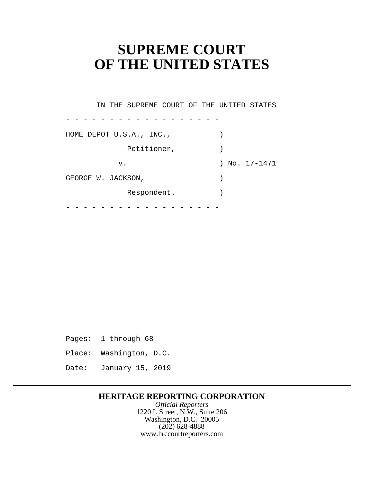# **SUPREME COURT OF THE UNITED STATES**

- - - - - - - - - - - - - - - - - - - - - - - - - - - - - - - - - - - - IN THE SUPREME COURT OF THE UNITED STATES HOME DEPOT U.S.A., INC., (1992) Petitioner,  $)$  v. ) No. 17-1471 GEORGE W. JACKSON,  $\qquad \qquad$ Respondent.

Pages: 1 through 68

Place: Washington, D.C.

Date: January 15, 2019

## **HERITAGE REPORTING CORPORATION**

*Official Reporters* 1220 L Street, N.W., Suite 206 Washington, D.C. 20005 (202) 628-4888 <www.hrccourtreporters.com>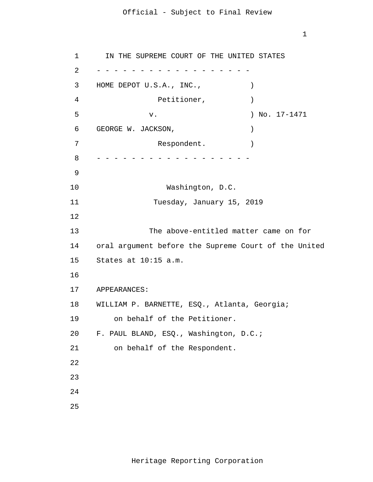1

 1 2 3 4 **5**  $\overline{6}$  7 8 9 10 11 12 13 14 15 16 17 18 WILLIAM P. BARNETTE, ESQ., Atlanta, Georgia; 19 20 21 22 23 24 25 - - - - - - - - - - - - - - - - - - - - - - - - - - - - - - - - - - - - IN THE SUPREME COURT OF THE UNITED STATES HOME DEPOT U.S.A., INC.,  $\qquad \qquad$ Petitioner,  $)$ v. ) No. 17-1471 GEORGE W. JACKSON,  $)$ Respondent. Washington, D.C. Tuesday, January 15, 2019 The above-entitled matter came on for oral argument before the Supreme Court of the United States at 10:15 a.m. APPEARANCES: on behalf of the Petitioner. F. PAUL BLAND, ESQ., Washington, D.C.; on behalf of the Respondent.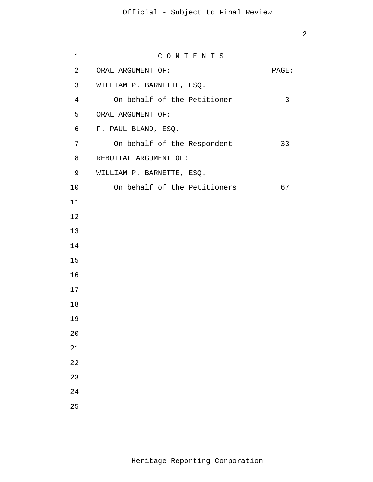| $\mathbf 1$    | CONTENTS                     |              |
|----------------|------------------------------|--------------|
| $\overline{a}$ | ORAL ARGUMENT OF:            | PAGE:        |
| $\mathsf{3}$   | WILLIAM P. BARNETTE, ESQ.    |              |
| $\overline{4}$ | On behalf of the Petitioner  | $\mathsf{3}$ |
| 5              | ORAL ARGUMENT OF:            |              |
| 6              | F. PAUL BLAND, ESQ.          |              |
| $7\phantom{.}$ | On behalf of the Respondent  | 33           |
| 8              | REBUTTAL ARGUMENT OF:        |              |
| 9              | WILLIAM P. BARNETTE, ESQ.    |              |
| 10             | On behalf of the Petitioners | 67           |
| 11             |                              |              |
| 12             |                              |              |
| 13             |                              |              |
| 14             |                              |              |
| 15             |                              |              |
| 16             |                              |              |
| 17             |                              |              |
| 18             |                              |              |
| 19             |                              |              |
| $20\,$         |                              |              |
| 21             |                              |              |
| 22             |                              |              |
| 23             |                              |              |
| 24             |                              |              |
| 25             |                              |              |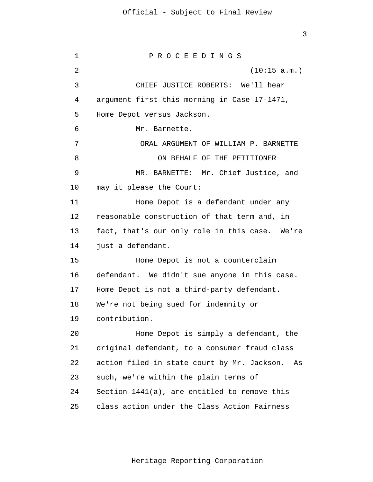1 2 3 4 **5**  $\overline{6}$  7 8 9 10 11 12 13 14 15 16 17 18 19 20 21 22 23 24 25 P R O C E E D I N G S (10:15 a.m.) CHIEF JUSTICE ROBERTS: We'll hear argument first this morning in Case 17-1471, Home Depot versus Jackson. Mr. Barnette. ORAL ARGUMENT OF WILLIAM P. BARNETTE ON BEHALF OF THE PETITIONER MR. BARNETTE: Mr. Chief Justice, and may it please the Court: Home Depot is a defendant under any reasonable construction of that term and, in fact, that's our only role in this case. We're just a defendant. Home Depot is not a counterclaim defendant. We didn't sue anyone in this case. Home Depot is not a third-party defendant. We're not being sued for indemnity or contribution. Home Depot is simply a defendant, the original defendant, to a consumer fraud class action filed in state court by Mr. Jackson. As such, we're within the plain terms of Section 1441(a), are entitled to remove this class action under the Class Action Fairness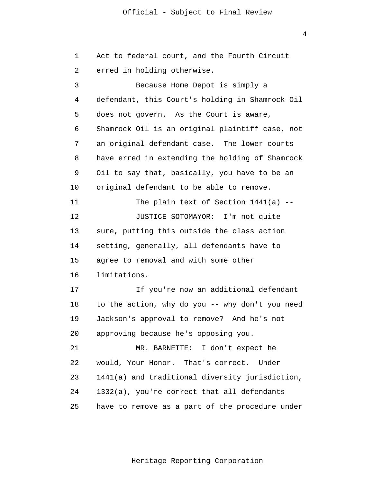1 2 3 4 **5**  $\overline{6}$  7 8 9 10 11 12 13 14 15 16 17 18 19 20 21 22 23 24 25 Act to federal court, and the Fourth Circuit erred in holding otherwise. Because Home Depot is simply a defendant, this Court's holding in Shamrock Oil does not govern. As the Court is aware, Shamrock Oil is an original plaintiff case, not an original defendant case. The lower courts have erred in extending the holding of Shamrock Oil to say that, basically, you have to be an original defendant to be able to remove. The plain text of Section  $1441(a)$  --JUSTICE SOTOMAYOR: I'm not quite sure, putting this outside the class action setting, generally, all defendants have to agree to removal and with some other limitations. If you're now an additional defendant to the action, why do you -- why don't you need Jackson's approval to remove? And he's not approving because he's opposing you. MR. BARNETTE: I don't expect he would, Your Honor. That's correct. Under 1441(a) and traditional diversity jurisdiction, 1332(a), you're correct that all defendants have to remove as a part of the procedure under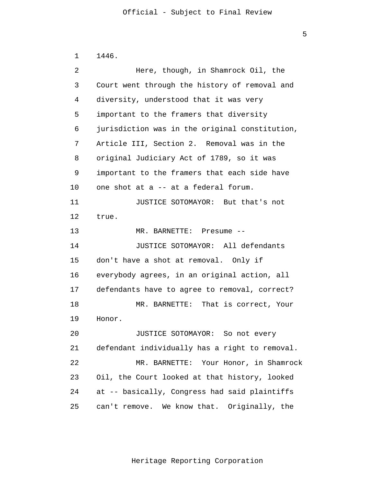$\overline{5}$ 

```
 1 
 2 
 3 
 4 
5
\overline{6} 7 
 8 
 9 
            10 
            11 
            12 
            13 
            14 
            15 
            16 
            17 
            18 
            19 
            20 
            21 
            22 
            23 
            24 
            25 
                 1446. 
                          Here, though, in Shamrock Oil, the 
                 Court went through the history of removal and 
                 diversity, understood that it was very 
                 important to the framers that diversity 
                 jurisdiction was in the original constitution, 
                 Article III, Section 2. Removal was in the 
                 original Judiciary Act of 1789, so it was 
                 important to the framers that each side have 
                 one shot at a -- at a federal forum. 
                          JUSTICE SOTOMAYOR: But that's not 
                 true. 
                          MR. BARNETTE: Presume --
                          JUSTICE SOTOMAYOR: All defendants 
                 don't have a shot at removal. Only if 
                 everybody agrees, in an original action, all 
                 defendants have to agree to removal, correct? 
                          MR. BARNETTE: That is correct, Your 
                 Honor. 
                          JUSTICE SOTOMAYOR: So not every 
                 defendant individually has a right to removal. 
                          MR. BARNETTE: Your Honor, in Shamrock 
                 Oil, the Court looked at that history, looked 
                 at -- basically, Congress had said plaintiffs 
                 can't remove. We know that. Originally, the
```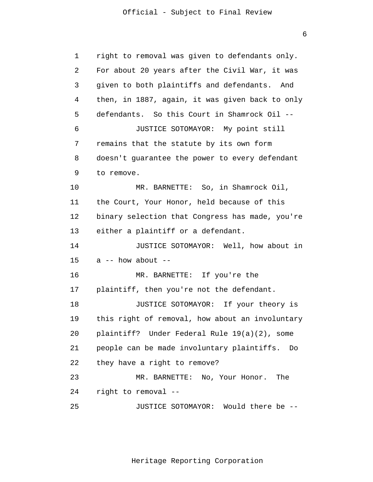1 2 3 4 **5**  $\overline{6}$  7 8 9 10 11 12 13 14 15 16 17 18 19 20 21 22 23 24 25 right to removal was given to defendants only. For about 20 years after the Civil War, it was given to both plaintiffs and defendants. And then, in 1887, again, it was given back to only defendants. So this Court in Shamrock Oil -- JUSTICE SOTOMAYOR: My point still remains that the statute by its own form doesn't guarantee the power to every defendant to remove. MR. BARNETTE: So, in Shamrock Oil, the Court, Your Honor, held because of this binary selection that Congress has made, you're either a plaintiff or a defendant. JUSTICE SOTOMAYOR: Well, how about in  $a$  -- how about --MR. BARNETTE: If you're the plaintiff, then you're not the defendant. JUSTICE SOTOMAYOR: If your theory is this right of removal, how about an involuntary plaintiff? Under Federal Rule 19(a)(2), some people can be made involuntary plaintiffs. Do they have a right to remove? MR. BARNETTE: No, Your Honor. The right to removal -- JUSTICE SOTOMAYOR: Would there be --

Heritage Reporting Corporation

 $\overline{6}$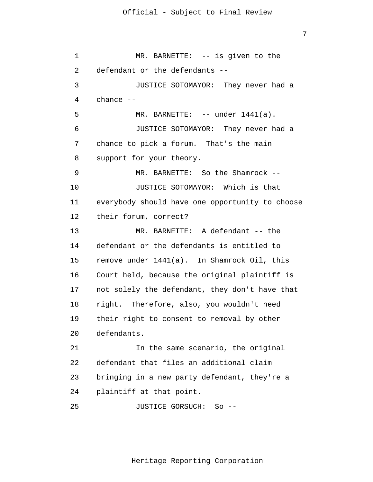1 2 3 4 **5**  $\overline{6}$  7 8 9 10 11 12 13 14 15 16 17 18 19 20 21 22 23 24 25 MR. BARNETTE: -- is given to the defendant or the defendants -- JUSTICE SOTOMAYOR: They never had a chance -- MR. BARNETTE: -- under 1441(a). JUSTICE SOTOMAYOR: They never had a chance to pick a forum. That's the main support for your theory. MR. BARNETTE: So the Shamrock -- JUSTICE SOTOMAYOR: Which is that everybody should have one opportunity to choose their forum, correct? MR. BARNETTE: A defendant -- the defendant or the defendants is entitled to remove under 1441(a). In Shamrock Oil, this Court held, because the original plaintiff is not solely the defendant, they don't have that right. Therefore, also, you wouldn't need their right to consent to removal by other defendants. In the same scenario, the original defendant that files an additional claim bringing in a new party defendant, they're a plaintiff at that point. JUSTICE GORSUCH: So --

Heritage Reporting Corporation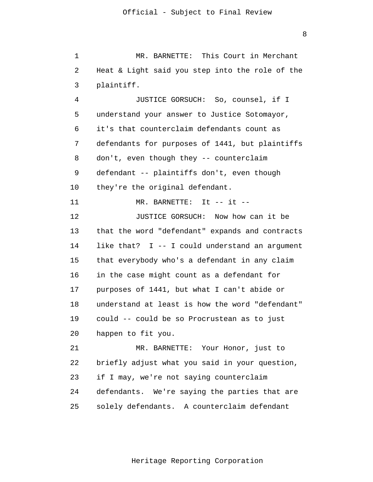1 2 3 MR. BARNETTE: This Court in Merchant Heat & Light said you step into the role of the plaintiff.

8

 4 **5**  $\overline{6}$  7 8 9 10 11 12 13 14 15 16 17 18 19 20 JUSTICE GORSUCH: So, counsel, if I understand your answer to Justice Sotomayor, it's that counterclaim defendants count as defendants for purposes of 1441, but plaintiffs don't, even though they -- counterclaim defendant -- plaintiffs don't, even though they're the original defendant.  $MR.$  BARNETTE: It  $--$  it  $--$ JUSTICE GORSUCH: Now how can it be that the word "defendant" expands and contracts like that? I -- I could understand an argument that everybody who's a defendant in any claim in the case might count as a defendant for purposes of 1441, but what I can't abide or understand at least is how the word "defendant" could -- could be so Procrustean as to just

> 21 22 23 24 25 MR. BARNETTE: Your Honor, just to briefly adjust what you said in your question, if I may, we're not saying counterclaim defendants. We're saying the parties that are solely defendants. A counterclaim defendant

happen to fit you.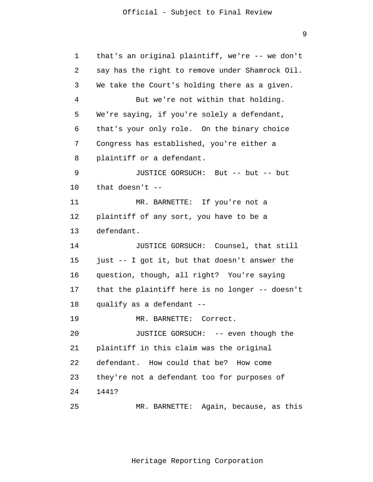1 2 3 4 **5**  6 7 8 9 10 11 12 13 14 15 16 17 18 19 20 21 22 23 24 25 that's an original plaintiff, we're -- we don't say has the right to remove under Shamrock Oil. We take the Court's holding there as a given. But we're not within that holding. We're saying, if you're solely a defendant, that's your only role. On the binary choice Congress has established, you're either a plaintiff or a defendant. JUSTICE GORSUCH: But -- but -- but that doesn't  $-$ MR. BARNETTE: If you're not a plaintiff of any sort, you have to be a defendant. JUSTICE GORSUCH: Counsel, that still just -- I got it, but that doesn't answer the question, though, all right? You're saying that the plaintiff here is no longer -- doesn't qualify as a defendant -- MR. BARNETTE: Correct. JUSTICE GORSUCH: -- even though the plaintiff in this claim was the original defendant. How could that be? How come they're not a defendant too for purposes of 1441? MR. BARNETTE: Again, because, as this

Heritage Reporting Corporation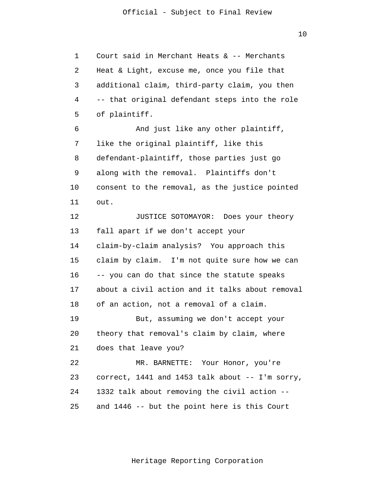10

 1 2 3 4 **5**  6 7 8 9 10 11 12 13 14 15 16 17 18 19 20 21 22 23 24 25 Court said in Merchant Heats & -- Merchants Heat & Light, excuse me, once you file that additional claim, third-party claim, you then -- that original defendant steps into the role of plaintiff. And just like any other plaintiff, like the original plaintiff, like this defendant-plaintiff, those parties just go along with the removal. Plaintiffs don't consent to the removal, as the justice pointed out. JUSTICE SOTOMAYOR: Does your theory fall apart if we don't accept your claim-by-claim analysis? You approach this claim by claim. I'm not quite sure how we can -- you can do that since the statute speaks about a civil action and it talks about removal of an action, not a removal of a claim. But, assuming we don't accept your theory that removal's claim by claim, where does that leave you? MR. BARNETTE: Your Honor, you're correct, 1441 and 1453 talk about -- I'm sorry, 1332 talk about removing the civil action - and 1446 -- but the point here is this Court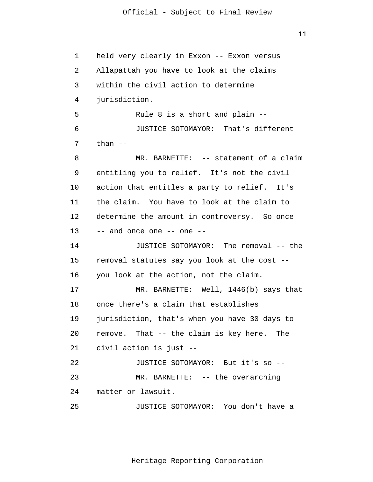$11$ 

 1 2 3 4 **5**  6 7 8 9 10 11 12 13 14 15 16 17 18 19 20 21 22 23 24 25 held very clearly in Exxon -- Exxon versus Allapattah you have to look at the claims within the civil action to determine jurisdiction. Rule 8 is a short and plain -- JUSTICE SOTOMAYOR: That's different than -- MR. BARNETTE: -- statement of a claim entitling you to relief. It's not the civil action that entitles a party to relief. It's the claim. You have to look at the claim to determine the amount in controversy. So once -- and once one -- one -- JUSTICE SOTOMAYOR: The removal -- the removal statutes say you look at the cost - you look at the action, not the claim. MR. BARNETTE: Well, 1446(b) says that once there's a claim that establishes jurisdiction, that's when you have 30 days to remove. That -- the claim is key here. The civil action is just -- JUSTICE SOTOMAYOR: But it's so -- MR. BARNETTE: -- the overarching matter or lawsuit. JUSTICE SOTOMAYOR: You don't have a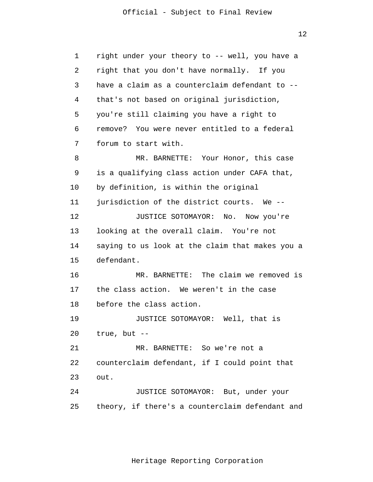1 2 3 4 **5**  6 7 8 9 10 11 12 13 14 15 16 17 18 19 20 21 22 23 24 25 right under your theory to -- well, you have a right that you don't have normally. If you have a claim as a counterclaim defendant to - that's not based on original jurisdiction, you're still claiming you have a right to remove? You were never entitled to a federal forum to start with. MR. BARNETTE: Your Honor, this case is a qualifying class action under CAFA that, by definition, is within the original jurisdiction of the district courts. We -- JUSTICE SOTOMAYOR: No. Now you're looking at the overall claim. You're not saying to us look at the claim that makes you a defendant. MR. BARNETTE: The claim we removed is the class action. We weren't in the case before the class action. JUSTICE SOTOMAYOR: Well, that is true, but -- MR. BARNETTE: So we're not a counterclaim defendant, if I could point that out. JUSTICE SOTOMAYOR: But, under your theory, if there's a counterclaim defendant and

Heritage Reporting Corporation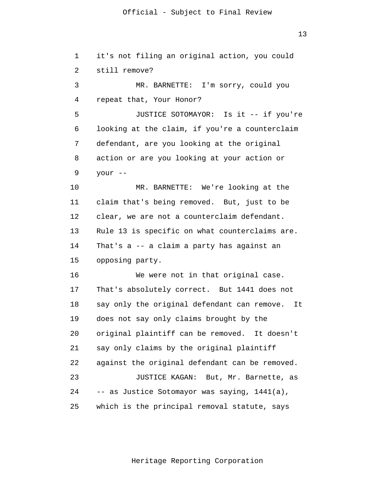| $\mathbf 1$ | it's not filing an original action, you could     |
|-------------|---------------------------------------------------|
| 2           | still remove?                                     |
| 3           | MR. BARNETTE: I'm sorry, could you                |
| 4           | repeat that, Your Honor?                          |
| 5           | JUSTICE SOTOMAYOR: Is it -- if you're             |
| 6           | looking at the claim, if you're a counterclaim    |
| 7           | defendant, are you looking at the original        |
| 8           | action or are you looking at your action or       |
| 9           | your --                                           |
| 10          | MR. BARNETTE: We're looking at the                |
| 11          | claim that's being removed. But, just to be       |
| 12          | clear, we are not a counterclaim defendant.       |
| 13          | Rule 13 is specific on what counterclaims are.    |
| 14          | That's $a - a$ claim a party has against an       |
| 15          | opposing party.                                   |
| 16          | We were not in that original case.                |
| 17          | That's absolutely correct. But 1441 does not      |
| 18          | say only the original defendant can remove.<br>It |
| 19          | does not say only claims brought by the           |
| 20          | original plaintiff can be removed. It doesn't     |
| 21          | say only claims by the original plaintiff         |
| 22          | against the original defendant can be removed.    |
| 23          | JUSTICE KAGAN: But, Mr. Barnette, as              |
| 24          | -- as Justice Sotomayor was saying, 1441(a),      |
| 25          | which is the principal removal statute, says      |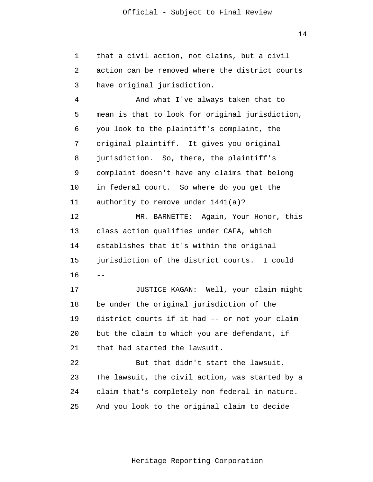1 2 3 that a civil action, not claims, but a civil action can be removed where the district courts have original jurisdiction.

 4 **5**  6 7 8 9 10 11 12 13 14 15 16 17 18  $-$ And what I've always taken that to mean is that to look for original jurisdiction, you look to the plaintiff's complaint, the original plaintiff. It gives you original jurisdiction. So, there, the plaintiff's complaint doesn't have any claims that belong in federal court. So where do you get the authority to remove under 1441(a)? MR. BARNETTE: Again, Your Honor, this class action qualifies under CAFA, which establishes that it's within the original jurisdiction of the district courts. I could JUSTICE KAGAN: Well, your claim might be under the original jurisdiction of the

> 19 20 21 district courts if it had -- or not your claim but the claim to which you are defendant, if that had started the lawsuit.

 22 23 24 25 But that didn't start the lawsuit. The lawsuit, the civil action, was started by a claim that's completely non-federal in nature. And you look to the original claim to decide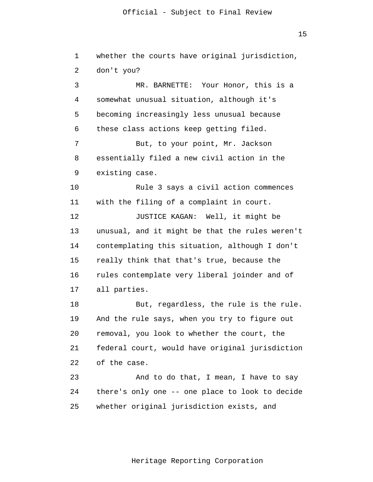15

| 1  | whether the courts have original jurisdiction,  |
|----|-------------------------------------------------|
| 2  | don't you?                                      |
| 3  | MR. BARNETTE: Your Honor, this is a             |
| 4  | somewhat unusual situation, although it's       |
| 5  | becoming increasingly less unusual because      |
| 6  | these class actions keep getting filed.         |
| 7  | But, to your point, Mr. Jackson                 |
| 8  | essentially filed a new civil action in the     |
| 9  | existing case.                                  |
| 10 | Rule 3 says a civil action commences            |
| 11 | with the filing of a complaint in court.        |
| 12 | JUSTICE KAGAN: Well, it might be                |
| 13 | unusual, and it might be that the rules weren't |
| 14 | contemplating this situation, although I don't  |
| 15 | really think that that's true, because the      |
| 16 | rules contemplate very liberal joinder and of   |
| 17 | all parties.                                    |
| 18 | But, regardless, the rule is the rule.          |
| 19 | And the rule says, when you try to figure out   |
| 20 | removal, you look to whether the court, the     |
| 21 | federal court, would have original jurisdiction |
| 22 | of the case.                                    |
| 23 | And to do that, I mean, I have to say           |
| 24 | there's only one -- one place to look to decide |
| 25 | whether original jurisdiction exists, and       |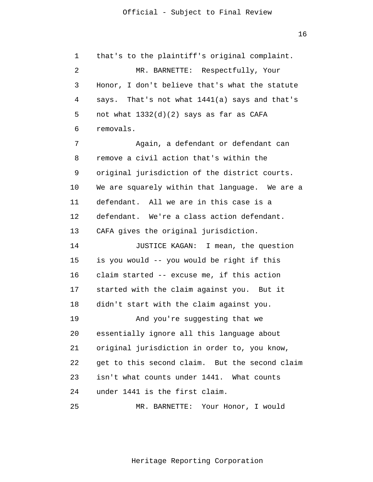1 2 3 4 **5**  6 7 8 9 that's to the plaintiff's original complaint. MR. BARNETTE: Respectfully, Your Honor, I don't believe that's what the statute says. That's not what 1441(a) says and that's not what 1332(d)(2) says as far as CAFA removals. Again, a defendant or defendant can remove a civil action that's within the original jurisdiction of the district courts.

> 10 11 12 13 We are squarely within that language. We are a defendant. All we are in this case is a defendant. We're a class action defendant. CAFA gives the original jurisdiction.

> 14 15 16 17 18 19 20 21 22 23 24 JUSTICE KAGAN: I mean, the question is you would -- you would be right if this claim started -- excuse me, if this action started with the claim against you. But it didn't start with the claim against you. And you're suggesting that we essentially ignore all this language about original jurisdiction in order to, you know, get to this second claim. But the second claim isn't what counts under 1441. What counts under 1441 is the first claim.

 25 MR. BARNETTE: Your Honor, I would

Heritage Reporting Corporation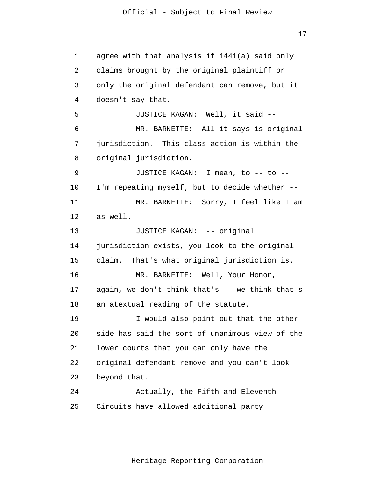17

 1 2 3 4 **5**  6 7 8 9 10 11 12 13 14 15 16 17 18 19 20 21 22 23 24 25 agree with that analysis if 1441(a) said only claims brought by the original plaintiff or only the original defendant can remove, but it doesn't say that. JUSTICE KAGAN: Well, it said -- MR. BARNETTE: All it says is original jurisdiction. This class action is within the original jurisdiction. JUSTICE KAGAN: I mean, to -- to -- I'm repeating myself, but to decide whether -- MR. BARNETTE: Sorry, I feel like I am as well. JUSTICE KAGAN: -- original jurisdiction exists, you look to the original claim. That's what original jurisdiction is. MR. BARNETTE: Well, Your Honor, again, we don't think that's -- we think that's an atextual reading of the statute. I would also point out that the other side has said the sort of unanimous view of the lower courts that you can only have the original defendant remove and you can't look beyond that. Actually, the Fifth and Eleventh Circuits have allowed additional party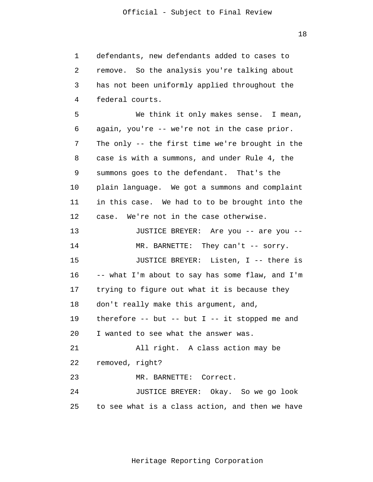18

 1 2 3 4 **5**  6 7 8 9 10 11 12 13 14 15 16 17 18 19 20 21 22 23 24 25 defendants, new defendants added to cases to remove. So the analysis you're talking about has not been uniformly applied throughout the federal courts. We think it only makes sense. I mean, again, you're -- we're not in the case prior. The only -- the first time we're brought in the case is with a summons, and under Rule 4, the summons goes to the defendant. That's the plain language. We got a summons and complaint in this case. We had to to be brought into the case. We're not in the case otherwise. JUSTICE BREYER: Are you -- are you -- MR. BARNETTE: They can't -- sorry. JUSTICE BREYER: Listen, I -- there is -- what I'm about to say has some flaw, and I'm trying to figure out what it is because they don't really make this argument, and, therefore  $--$  but  $--$  but I  $--$  it stopped me and I wanted to see what the answer was. All right. A class action may be removed, right? MR. BARNETTE: Correct. JUSTICE BREYER: Okay. So we go look to see what is a class action, and then we have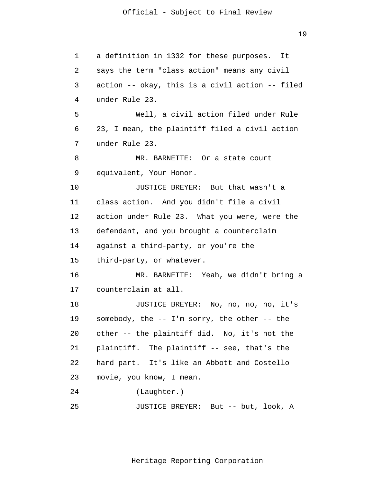19

| 1  | a definition in 1332 for these purposes. It     |
|----|-------------------------------------------------|
| 2  | says the term "class action" means any civil    |
| 3  | action -- okay, this is a civil action -- filed |
| 4  | under Rule 23.                                  |
| 5  | Well, a civil action filed under Rule           |
| 6  | 23, I mean, the plaintiff filed a civil action  |
| 7  | under Rule 23.                                  |
| 8  | MR. BARNETTE: Or a state court                  |
| 9  | equivalent, Your Honor.                         |
| 10 | JUSTICE BREYER: But that wasn't a               |
| 11 | class action. And you didn't file a civil       |
| 12 | action under Rule 23. What you were, were the   |
| 13 | defendant, and you brought a counterclaim       |
| 14 | against a third-party, or you're the            |
| 15 | third-party, or whatever.                       |
| 16 | MR. BARNETTE: Yeah, we didn't bring a           |
| 17 | counterclaim at all.                            |
| 18 | JUSTICE BREYER: No, no, no, no, it's            |
| 19 | somebody, the -- I'm sorry, the other -- the    |
| 20 | other -- the plaintiff did. No, it's not the    |
| 21 | plaintiff. The plaintiff -- see, that's the     |
| 22 | hard part. It's like an Abbott and Costello     |
| 23 | movie, you know, I mean.                        |
| 24 | (Laughter.)                                     |
| 25 | JUSTICE BREYER: But -- but, look, A             |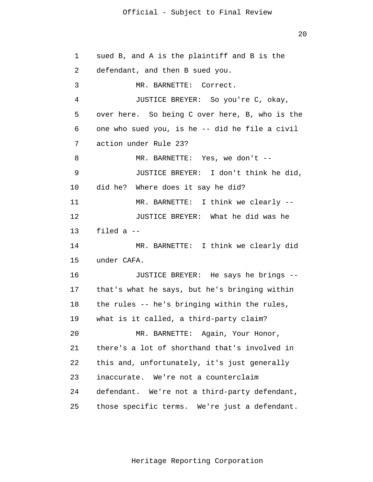20

 1 2 3 4 **5**  $\overline{6}$  7 8 9 10 11 12 13 14 15 16 17 18 19 20 21 22 23 24 25 sued B, and A is the plaintiff and B is the defendant, and then B sued you. MR. BARNETTE: Correct. JUSTICE BREYER: So you're C, okay, over here. So being C over here, B, who is the one who sued you, is he -- did he file a civil action under Rule 23? MR. BARNETTE: Yes, we don't -- JUSTICE BREYER: I don't think he did, did he? Where does it say he did? MR. BARNETTE: I think we clearly -- JUSTICE BREYER: What he did was he filed a -- MR. BARNETTE: I think we clearly did under CAFA. JUSTICE BREYER: He says he brings - that's what he says, but he's bringing within the rules -- he's bringing within the rules, what is it called, a third-party claim? MR. BARNETTE: Again, Your Honor, there's a lot of shorthand that's involved in this and, unfortunately, it's just generally inaccurate. We're not a counterclaim defendant. We're not a third-party defendant, those specific terms. We're just a defendant.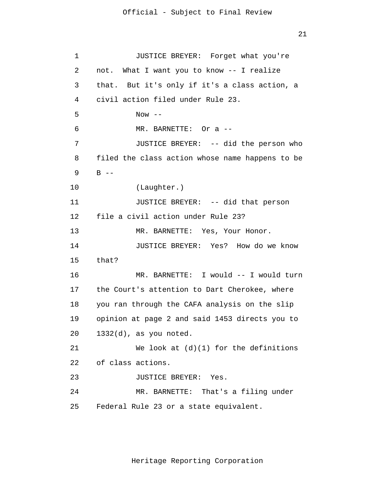21

```
 1 
 2 
 3 
 4 
5
\overline{6} 7 
 8 
 9 
            10 
            11 
            12 
            13 
            14 
            15 
            16 
            17 
            18 
            19 
            20 
            21 
            22 
            23 
            24 
            25 
                         JUSTICE BREYER: Forget what you're 
                 not. What I want you to know -- I realize 
                 that. But it's only if it's a class action, a 
                 civil action filed under Rule 23. 
                         Now --MR. BARNETTE: Or a --
                         JUSTICE BREYER: -- did the person who 
                 filed the class action whose name happens to be 
                 B --
                         (Laughter.) 
                         JUSTICE BREYER: -- did that person 
                 file a civil action under Rule 23? 
                         MR. BARNETTE: Yes, Your Honor. 
                         JUSTICE BREYER: Yes? How do we know 
                 that? 
                         MR. BARNETTE: I would -- I would turn 
                 the Court's attention to Dart Cherokee, where 
                 you ran through the CAFA analysis on the slip 
                 opinion at page 2 and said 1453 directs you to 
                 1332(d), as you noted. 
                         We look at (d)(1) for the definitions
                 of class actions. 
                         JUSTICE BREYER: Yes. 
                         MR. BARNETTE: That's a filing under 
                 Federal Rule 23 or a state equivalent.
```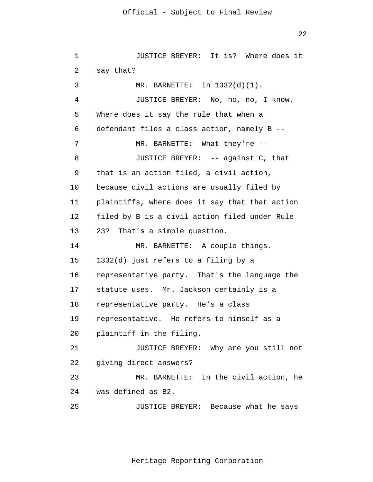```
 1 
 2 
 3 
 4 
5
\overline{6} 7 
 8 
 9 
            10 
            11 
            12 
            13 
            14 
            15 
            16 
            17 
            18 
            19 
            20 
            21 
            22 
            23 
            24 
            25 
                         JUSTICE BREYER: It is? Where does it 
                 say that? 
                         MR. BARNETTE: In 1332(d)(1). 
                         JUSTICE BREYER: No, no, no, I know. 
                 Where does it say the rule that when a 
                 defendant files a class action, namely B --
                         MR. BARNETTE: What they're --
                         JUSTICE BREYER: -- against C, that 
                 that is an action filed, a civil action, 
                 because civil actions are usually filed by 
                 plaintiffs, where does it say that that action 
                 filed by B is a civil action filed under Rule 
                 23? That's a simple question. 
                         MR. BARNETTE: A couple things. 
                 1332(d) just refers to a filing by a 
                 representative party. That's the language the 
                 statute uses. Mr. Jackson certainly is a 
                 representative party. He's a class 
                 representative. He refers to himself as a 
                 plaintiff in the filing. 
                         JUSTICE BREYER: Why are you still not 
                 giving direct answers? 
                         MR. BARNETTE: In the civil action, he 
                 was defined as B2. 
                         JUSTICE BREYER: Because what he says
```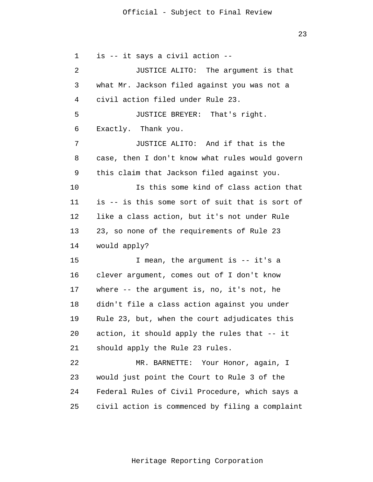1 2 3 4 **5**  $\overline{6}$  7 8 9 10 11 12 13 14 15 16 17 18 19 20 21 22 23 24 25 is -- it says a civil action -- JUSTICE ALITO: The argument is that what Mr. Jackson filed against you was not a civil action filed under Rule 23. JUSTICE BREYER: That's right. Exactly. Thank you. JUSTICE ALITO: And if that is the case, then I don't know what rules would govern this claim that Jackson filed against you. Is this some kind of class action that is -- is this some sort of suit that is sort of like a class action, but it's not under Rule 23, so none of the requirements of Rule 23 would apply? I mean, the argument is -- it's a clever argument, comes out of I don't know where -- the argument is, no, it's not, he didn't file a class action against you under Rule 23, but, when the court adjudicates this action, it should apply the rules that -- it should apply the Rule 23 rules. MR. BARNETTE: Your Honor, again, I would just point the Court to Rule 3 of the Federal Rules of Civil Procedure, which says a civil action is commenced by filing a complaint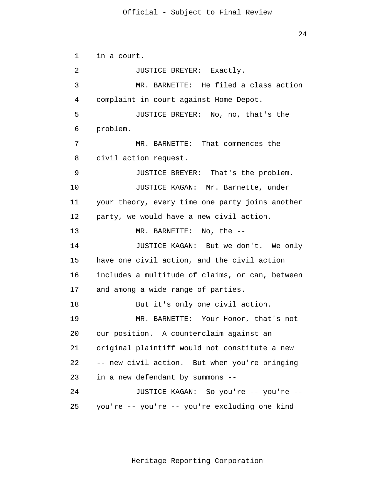24

```
 1 
 2 
 3 
 4 
5
\overline{6} 7 
 8 
 9 
            10 
            11 
            12 
            13 
            14 
            15 
            16 
            17 
            18 
            19 
            20 
            21 
            22 
            23 
            24 
            25 
                 in a court. 
                         JUSTICE BREYER: Exactly. 
                         MR. BARNETTE: He filed a class action 
                 complaint in court against Home Depot. 
                         JUSTICE BREYER: No, no, that's the 
                 problem. 
                         MR. BARNETTE: That commences the 
                 civil action request. 
                         JUSTICE BREYER: That's the problem. 
                         JUSTICE KAGAN: Mr. Barnette, under 
                 your theory, every time one party joins another 
                 party, we would have a new civil action. 
                         MR. BARNETTE: No, the --
                         JUSTICE KAGAN: But we don't. We only 
                 have one civil action, and the civil action 
                 includes a multitude of claims, or can, between 
                 and among a wide range of parties. 
                         But it's only one civil action. 
                         MR. BARNETTE: Your Honor, that's not 
                 our position. A counterclaim against an 
                 original plaintiff would not constitute a new 
                 -- new civil action. But when you're bringing 
                 in a new defendant by summons --
                         JUSTICE KAGAN: So you're -- you're --
                 you're -- you're -- you're excluding one kind
```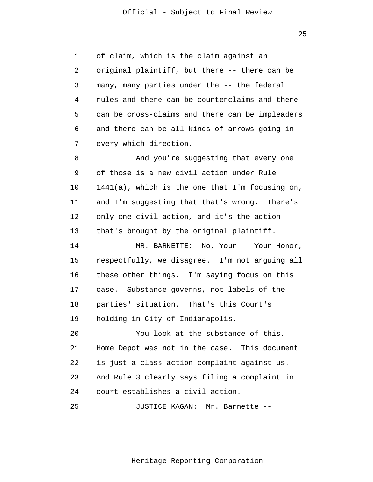1 2 3 4 **5**  $\overline{6}$  7 of claim, which is the claim against an original plaintiff, but there -- there can be many, many parties under the -- the federal rules and there can be counterclaims and there can be cross-claims and there can be impleaders and there can be all kinds of arrows going in every which direction.

 8 9 10 11 12 13 And you're suggesting that every one of those is a new civil action under Rule 1441(a), which is the one that I'm focusing on, and I'm suggesting that that's wrong. There's only one civil action, and it's the action that's brought by the original plaintiff.

> 14 15 16 17 18 19 MR. BARNETTE: No, Your -- Your Honor, respectfully, we disagree. I'm not arguing all these other things. I'm saying focus on this case. Substance governs, not labels of the parties' situation. That's this Court's holding in City of Indianapolis.

 20 21 22 23 24 You look at the substance of this. Home Depot was not in the case. This document is just a class action complaint against us. And Rule 3 clearly says filing a complaint in court establishes a civil action.

 25 JUSTICE KAGAN: Mr. Barnette --

Heritage Reporting Corporation

<u>25 and 25 and 25 and 25 and 25 and 25 and 25 and 25 and 25 and 25 and 25 and 25 and 25 and 25 and 25 and 25 and 25 and 25 and 25 and 25 and 25 and 25 and 25 and 25 and 25 and 26 and 26 and 26 and 26 and 26 and 26 and 26 a</u>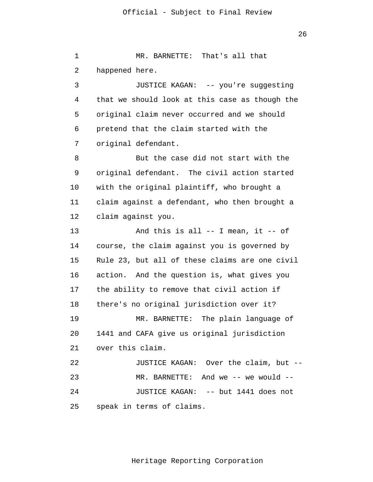1 2 3 4 **5**  $\overline{6}$  7 8 9 10 11 12 13 14 15 16 17 18 19 20 21 22 23 24 25 MR. BARNETTE: That's all that happened here. JUSTICE KAGAN: -- you're suggesting that we should look at this case as though the original claim never occurred and we should pretend that the claim started with the original defendant. But the case did not start with the original defendant. The civil action started with the original plaintiff, who brought a claim against a defendant, who then brought a claim against you. And this is all  $--$  I mean, it  $--$  of course, the claim against you is governed by Rule 23, but all of these claims are one civil action. And the question is, what gives you the ability to remove that civil action if there's no original jurisdiction over it? MR. BARNETTE: The plain language of 1441 and CAFA give us original jurisdiction over this claim. JUSTICE KAGAN: Over the claim, but -- MR. BARNETTE: And we -- we would --JUSTICE KAGAN: -- but 1441 does not speak in terms of claims.

26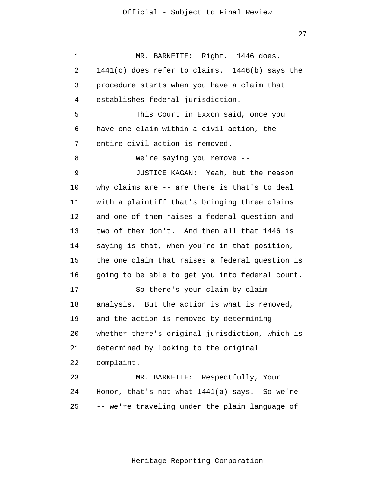27

 1 2 3 4 **5**  $\overline{6}$  7 8 9 10 11 12 13 14 15 16 17 18 19 20 21 22 23 24 25 MR. BARNETTE: Right. 1446 does. 1441(c) does refer to claims. 1446(b) says the procedure starts when you have a claim that establishes federal jurisdiction. This Court in Exxon said, once you have one claim within a civil action, the entire civil action is removed. We're saying you remove -- JUSTICE KAGAN: Yeah, but the reason why claims are -- are there is that's to deal with a plaintiff that's bringing three claims and one of them raises a federal question and two of them don't. And then all that 1446 is saying is that, when you're in that position, the one claim that raises a federal question is going to be able to get you into federal court. So there's your claim-by-claim analysis. But the action is what is removed, and the action is removed by determining whether there's original jurisdiction, which is determined by looking to the original complaint. MR. BARNETTE: Respectfully, Your Honor, that's not what 1441(a) says. So we're -- we're traveling under the plain language of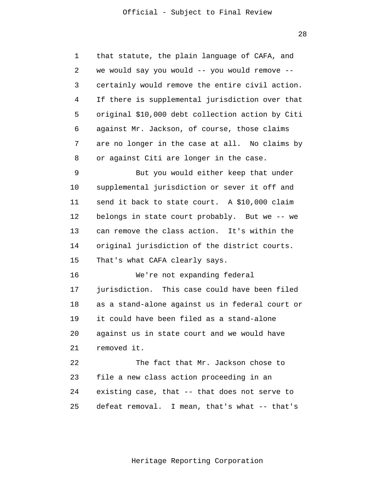1 2 3 4 **5**  $\overline{6}$  7 8 that statute, the plain language of CAFA, and we would say you would -- you would remove - certainly would remove the entire civil action. If there is supplemental jurisdiction over that original \$10,000 debt collection action by Citi against Mr. Jackson, of course, those claims are no longer in the case at all. No claims by or against Citi are longer in the case.

 9 10 11 12 13 14 15 But you would either keep that under supplemental jurisdiction or sever it off and send it back to state court. A \$10,000 claim belongs in state court probably. But we -- we can remove the class action. It's within the original jurisdiction of the district courts. That's what CAFA clearly says.

> 16 17 18 19 20 21 We're not expanding federal jurisdiction. This case could have been filed as a stand-alone against us in federal court or it could have been filed as a stand-alone against us in state court and we would have removed it.

 22 23 24 25 The fact that Mr. Jackson chose to file a new class action proceeding in an existing case, that -- that does not serve to defeat removal. I mean, that's what -- that's

28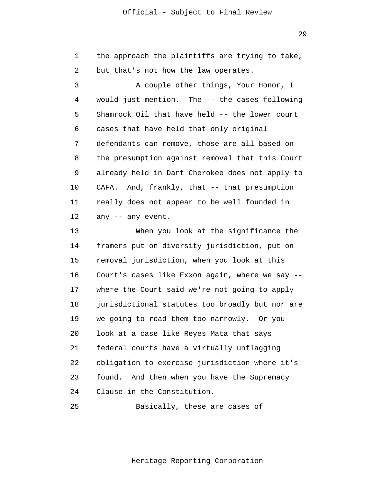1 2 the approach the plaintiffs are trying to take, but that's not how the law operates.

 3 4 **5**  $\overline{6}$  7 8 9 10 11 12 A couple other things, Your Honor, I would just mention. The -- the cases following Shamrock Oil that have held -- the lower court cases that have held that only original defendants can remove, those are all based on the presumption against removal that this Court already held in Dart Cherokee does not apply to CAFA. And, frankly, that -- that presumption really does not appear to be well founded in any -- any event.

> 13 14 15 16 17 18 19 20 21 22 23 24 When you look at the significance the framers put on diversity jurisdiction, put on removal jurisdiction, when you look at this Court's cases like Exxon again, where we say - where the Court said we're not going to apply jurisdictional statutes too broadly but nor are we going to read them too narrowly. Or you look at a case like Reyes Mata that says federal courts have a virtually unflagging obligation to exercise jurisdiction where it's found. And then when you have the Supremacy Clause in the Constitution.

 25 Basically, these are cases of

Heritage Reporting Corporation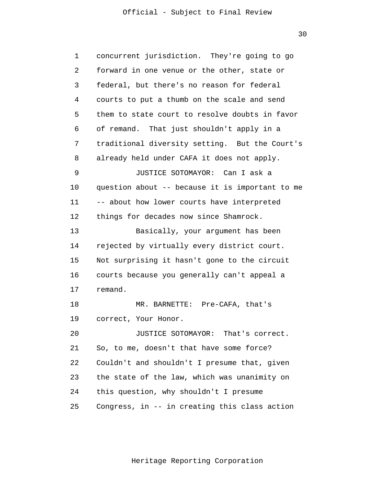30

| 1  | concurrent jurisdiction. They're going to go    |
|----|-------------------------------------------------|
| 2  | forward in one venue or the other, state or     |
| 3  | federal, but there's no reason for federal      |
| 4  | courts to put a thumb on the scale and send     |
| 5  | them to state court to resolve doubts in favor  |
| 6  | of remand. That just shouldn't apply in a       |
| 7  | traditional diversity setting. But the Court's  |
| 8  | already held under CAFA it does not apply.      |
| 9  | JUSTICE SOTOMAYOR: Can I ask a                  |
| 10 | question about -- because it is important to me |
| 11 | -- about how lower courts have interpreted      |
| 12 | things for decades now since Shamrock.          |
| 13 | Basically, your argument has been               |
| 14 | rejected by virtually every district court.     |
| 15 | Not surprising it hasn't gone to the circuit    |
| 16 | courts because you generally can't appeal a     |
| 17 | remand.                                         |
| 18 | MR. BARNETTE: Pre-CAFA, that's                  |
| 19 | correct, Your Honor.                            |
| 20 | JUSTICE SOTOMAYOR: That's correct.              |
| 21 | So, to me, doesn't that have some force?        |
| 22 | Couldn't and shouldn't I presume that, given    |
| 23 | the state of the law, which was unanimity on    |
| 24 | this question, why shouldn't I presume          |
| 25 | Congress, in -- in creating this class action   |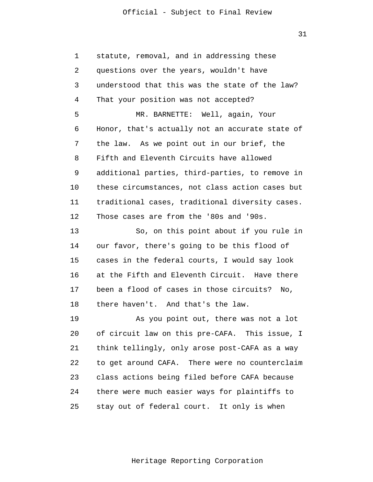1 2 3 4 **5**  $\overline{6}$  7 8 9 10 11 12 statute, removal, and in addressing these questions over the years, wouldn't have understood that this was the state of the law? That your position was not accepted? MR. BARNETTE: Well, again, Your Honor, that's actually not an accurate state of the law. As we point out in our brief, the Fifth and Eleventh Circuits have allowed additional parties, third-parties, to remove in these circumstances, not class action cases but traditional cases, traditional diversity cases. Those cases are from the '80s and '90s.

> 13 14 15 16 17 18 So, on this point about if you rule in our favor, there's going to be this flood of cases in the federal courts, I would say look at the Fifth and Eleventh Circuit. Have there been a flood of cases in those circuits? No, there haven't. And that's the law.

> 19 20 21 22 23 24 25 As you point out, there was not a lot of circuit law on this pre-CAFA. This issue, I think tellingly, only arose post-CAFA as a way to get around CAFA. There were no counterclaim class actions being filed before CAFA because there were much easier ways for plaintiffs to stay out of federal court. It only is when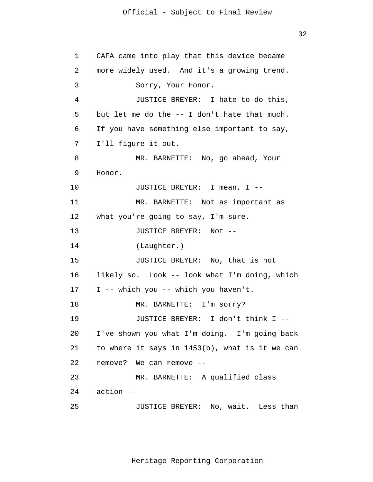```
 1 
 2 
 3 
 4 
5
\overline{6} 7 
 8 
 9 
            10 
            11 
            12 
            13 
            14 
            15 
            16 
            17 
            18 
            19 
            20 
            21 
            22 
            23 
            24 
            25 
                 CAFA came into play that this device became 
                 more widely used. And it's a growing trend. 
                         Sorry, Your Honor. 
                         JUSTICE BREYER: I hate to do this, 
                 but let me do the -- I don't hate that much. 
                 If you have something else important to say, 
                 I'll figure it out. 
                         MR. BARNETTE: No, go ahead, Your 
                 Honor. 
                         JUSTICE BREYER: I mean, I --
                         MR. BARNETTE: Not as important as 
                 what you're going to say, I'm sure. 
                         JUSTICE BREYER: Not --
                         (Laughter.) 
                         JUSTICE BREYER: No, that is not 
                 likely so. Look -- look what I'm doing, which 
                 I -- which you -- which you haven't. 
                         MR. BARNETTE: I'm sorry? 
                         JUSTICE BREYER: I don't think I --
                 I've shown you what I'm doing. I'm going back 
                 to where it says in 1453(b), what is it we can 
                 remove? We can remove --
                         MR. BARNETTE: A qualified class 
                 action --
                         JUSTICE BREYER: No, wait. Less than
```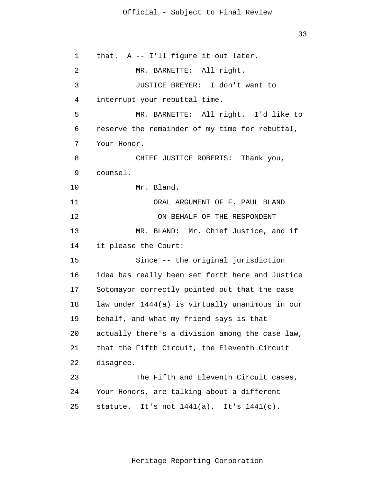1 2 3 4 **5**  $\overline{6}$  7 8 9 10 11 12 13 14 15 16 17 18 19 20 21 22 23 24 25 that. A -- I'll figure it out later. MR. BARNETTE: All right. JUSTICE BREYER: I don't want to interrupt your rebuttal time. MR. BARNETTE: All right. I'd like to reserve the remainder of my time for rebuttal, Your Honor. CHIEF JUSTICE ROBERTS: Thank you, counsel. Mr. Bland. ORAL ARGUMENT OF F. PAUL BLAND ON BEHALF OF THE RESPONDENT MR. BLAND: Mr. Chief Justice, and if it please the Court: Since -- the original jurisdiction idea has really been set forth here and Justice Sotomayor correctly pointed out that the case law under 1444(a) is virtually unanimous in our behalf, and what my friend says is that actually there's a division among the case law, that the Fifth Circuit, the Eleventh Circuit disagree. The Fifth and Eleventh Circuit cases, Your Honors, are talking about a different statute. It's not 1441(a). It's 1441(c).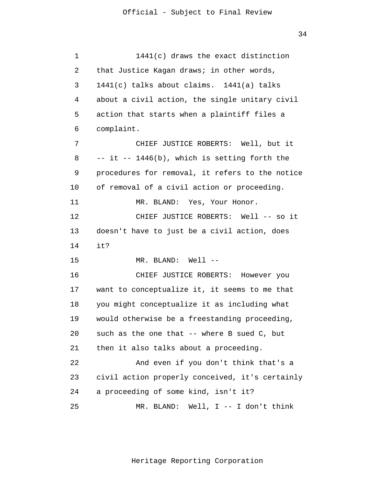| $\mathbf 1$ | 1441(c) draws the exact distinction             |
|-------------|-------------------------------------------------|
| 2           | that Justice Kagan draws; in other words,       |
| 3           | 1441(c) talks about claims. 1441(a) talks       |
| 4           | about a civil action, the single unitary civil  |
| 5           | action that starts when a plaintiff files a     |
| 6           | complaint.                                      |
| 7           | CHIEF JUSTICE ROBERTS: Well, but it             |
| 8           | -- it -- 1446(b), which is setting forth the    |
| 9           | procedures for removal, it refers to the notice |
| 10          | of removal of a civil action or proceeding.     |
| 11          | MR. BLAND: Yes, Your Honor.                     |
| 12          | CHIEF JUSTICE ROBERTS: Well -- so it            |
| 13          | doesn't have to just be a civil action, does    |
| 14          | it?                                             |
| 15          | MR. BLAND: Well --                              |
| 16          | CHIEF JUSTICE ROBERTS: However you              |
| 17          | want to conceptualize it, it seems to me that   |
| 18          | you might conceptualize it as including what    |
| 19          | would otherwise be a freestanding proceeding,   |
| 20          | such as the one that -- where B sued C, but     |
| 21          | then it also talks about a proceeding.          |
| 22          | And even if you don't think that's a            |
| 23          | civil action properly conceived, it's certainly |
| 24          | a proceeding of some kind, isn't it?            |
| 25          | MR. BLAND:<br>Well, $I$ -- I don't think        |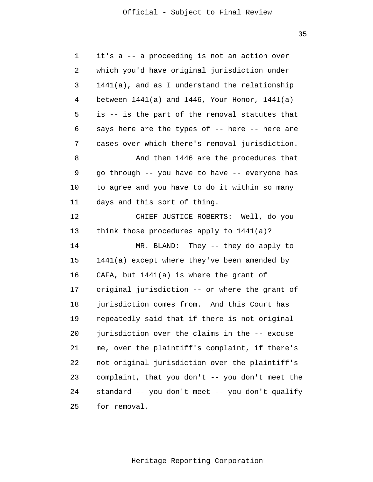| $\mathbf 1$ | it's a -- a proceeding is not an action over         |
|-------------|------------------------------------------------------|
| 2           | which you'd have original jurisdiction under         |
| 3           | $1441(a)$ , and as I understand the relationship     |
| 4           | between $1441(a)$ and $1446$ , Your Honor, $1441(a)$ |
| 5           | is -- is the part of the removal statutes that       |
| 6           | says here are the types of -- here -- here are       |
| 7           | cases over which there's removal jurisdiction.       |
| 8           | And then 1446 are the procedures that                |
| 9           | go through -- you have to have -- everyone has       |
| 10          | to agree and you have to do it within so many        |
| 11          | days and this sort of thing.                         |
| 12          | CHIEF JUSTICE ROBERTS: Well, do you                  |
| 13          | think those procedures apply to 1441(a)?             |
| 14          | MR. BLAND: They -- they do apply to                  |
| 15          | 1441(a) except where they've been amended by         |
| 16          | CAFA, but $1441(a)$ is where the grant of            |
| 17          | original jurisdiction -- or where the grant of       |
| 18          | jurisdiction comes from. And this Court has          |
| 19          | repeatedly said that if there is not original        |
| 20          | jurisdiction over the claims in the -- excuse        |
| 21          | me, over the plaintiff's complaint, if there's       |
| 22          | not original jurisdiction over the plaintiff's       |
| 23          | complaint, that you don't -- you don't meet the      |
| 24          | standard -- you don't meet -- you don't qualify      |
| 25          | for removal.                                         |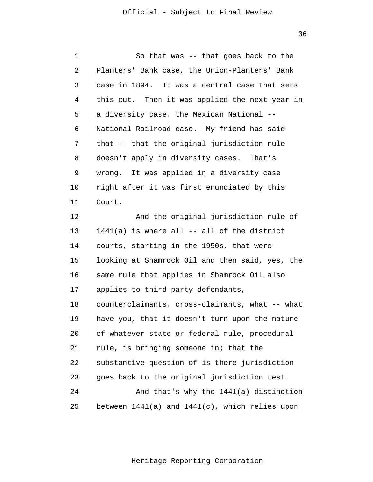36

| 1  | So that was -- that goes back to the                |
|----|-----------------------------------------------------|
| 2  | Planters' Bank case, the Union-Planters' Bank       |
| 3  | case in 1894. It was a central case that sets       |
| 4  | this out. Then it was applied the next year in      |
| 5  | a diversity case, the Mexican National --           |
| 6  | National Railroad case. My friend has said          |
| 7  | that -- that the original jurisdiction rule         |
| 8  | doesn't apply in diversity cases. That's            |
| 9  | wrong. It was applied in a diversity case           |
| 10 | right after it was first enunciated by this         |
| 11 | Court.                                              |
| 12 | And the original jurisdiction rule of               |
| 13 | $1441(a)$ is where all $--$ all of the district     |
| 14 | courts, starting in the 1950s, that were            |
| 15 | looking at Shamrock Oil and then said, yes, the     |
| 16 | same rule that applies in Shamrock Oil also         |
| 17 | applies to third-party defendants,                  |
| 18 | counterclaimants, cross-claimants, what -- what     |
| 19 | have you, that it doesn't turn upon the nature      |
| 20 | of whatever state or federal rule, procedural       |
| 21 | rule, is bringing someone in; that the              |
| 22 | substantive question of is there jurisdiction       |
| 23 | goes back to the original jurisdiction test.        |
| 24 | And that's why the 1441(a) distinction              |
| 25 | between $1441(a)$ and $1441(c)$ , which relies upon |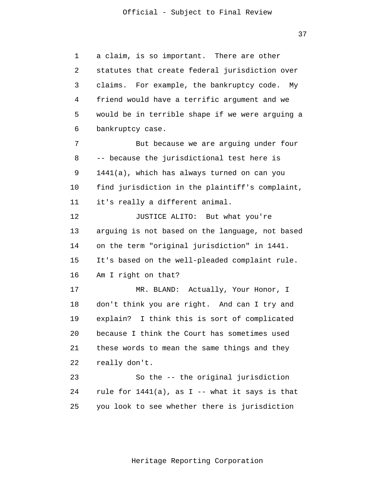37

 1 2 3 4 **5**  6 7 8 9 10 11 12 13 14 15 16 17 18 19 20 21 22 23 24 25 a claim, is so important. There are other statutes that create federal jurisdiction over claims. For example, the bankruptcy code. My friend would have a terrific argument and we would be in terrible shape if we were arguing a bankruptcy case. But because we are arguing under four -- because the jurisdictional test here is 1441(a), which has always turned on can you find jurisdiction in the plaintiff's complaint, it's really a different animal. JUSTICE ALITO: But what you're arguing is not based on the language, not based on the term "original jurisdiction" in 1441. It's based on the well-pleaded complaint rule. Am I right on that? MR. BLAND: Actually, Your Honor, I don't think you are right. And can I try and explain? I think this is sort of complicated because I think the Court has sometimes used these words to mean the same things and they really don't. So the -- the original jurisdiction rule for  $1441(a)$ , as I -- what it says is that you look to see whether there is jurisdiction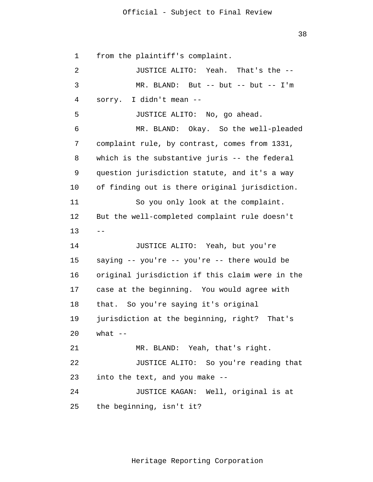38

 1 2 3 4 **5**  6 7 8 9 10 11 12 13 14 15 16 17 18 19 20 21 22 23 24 25  $$ from the plaintiff's complaint. JUSTICE ALITO: Yeah. That's the -- MR. BLAND: But -- but -- but -- I'm sorry. I didn't mean -- JUSTICE ALITO: No, go ahead. MR. BLAND: Okay. So the well-pleaded complaint rule, by contrast, comes from 1331, which is the substantive juris -- the federal question jurisdiction statute, and it's a way of finding out is there original jurisdiction. So you only look at the complaint. But the well-completed complaint rule doesn't JUSTICE ALITO: Yeah, but you're saying -- you're -- you're -- there would be original jurisdiction if this claim were in the case at the beginning. You would agree with that. So you're saying it's original jurisdiction at the beginning, right? That's what  $--$ MR. BLAND: Yeah, that's right. JUSTICE ALITO: So you're reading that into the text, and you make -- JUSTICE KAGAN: Well, original is at the beginning, isn't it?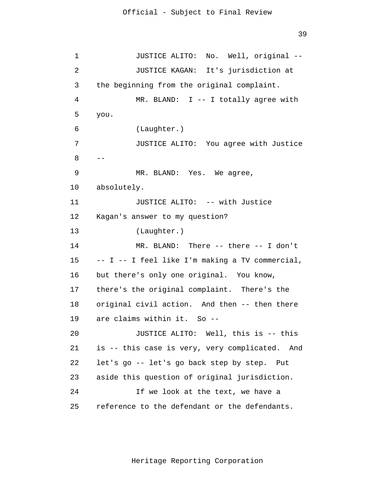```
 1 
 2 
 3 
 4 
5
\overline{6} 7 
 8 
 9 
            10 
            11 
            12 
            13 
            14 
            15 
            16 
            17 
            18 
            19 
            20 
            21 
            22 
            23 
            24 
            25 
                         JUSTICE ALITO: No. Well, original --
                         JUSTICE KAGAN: It's jurisdiction at 
                 the beginning from the original complaint. 
                         MR. BLAND: I -- I totally agree with 
                 you. 
                         (Laughter.) 
                         JUSTICE ALITO: You agree with Justice 
                 - -MR. BLAND: Yes. We agree, 
                 absolutely. 
                         JUSTICE ALITO: -- with Justice 
                 Kagan's answer to my question? 
                         (Laughter.) 
                         MR. BLAND: There -- there -- I don't 
                 -- I -- I feel like I'm making a TV commercial,
                 but there's only one original. You know, 
                 there's the original complaint. There's the 
                 original civil action. And then -- then there 
                 are claims within it. So --
                         JUSTICE ALITO: Well, this is -- this 
                 is -- this case is very, very complicated. And 
                 let's go -- let's go back step by step. Put 
                 aside this question of original jurisdiction. 
                         If we look at the text, we have a 
                 reference to the defendant or the defendants.
```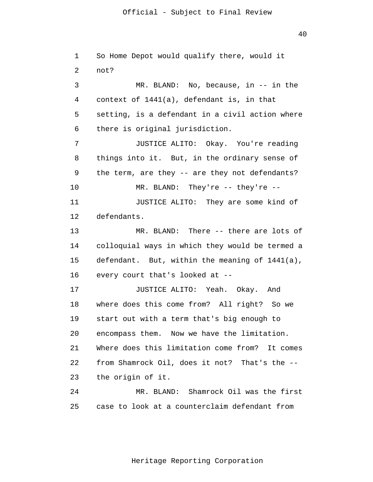1 2 3 4 **5**  $\overline{6}$  7 8 9 10 11 12 13 14 15 16 17 18 19 20 21 22 23 24 25 So Home Depot would qualify there, would it not? MR. BLAND: No, because, in -- in the context of 1441(a), defendant is, in that setting, is a defendant in a civil action where there is original jurisdiction. JUSTICE ALITO: Okay. You're reading things into it. But, in the ordinary sense of the term, are they -- are they not defendants? MR. BLAND: They're -- they're -- JUSTICE ALITO: They are some kind of defendants. MR. BLAND: There -- there are lots of colloquial ways in which they would be termed a defendant. But, within the meaning of 1441(a), every court that's looked at -- JUSTICE ALITO: Yeah. Okay. And where does this come from? All right? So we start out with a term that's big enough to encompass them. Now we have the limitation. Where does this limitation come from? It comes from Shamrock Oil, does it not? That's the - the origin of it. MR. BLAND: Shamrock Oil was the first case to look at a counterclaim defendant from

40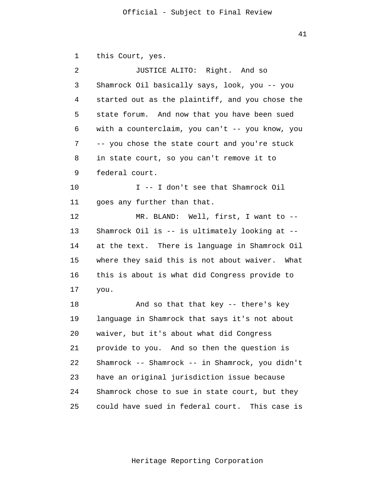1 2 3 4 **5**  $\overline{6}$  7 8 9 10 11 12 13 14 15 16 17 18 19 20 21 22 23 24 this Court, yes. JUSTICE ALITO: Right. And so Shamrock Oil basically says, look, you -- you started out as the plaintiff, and you chose the state forum. And now that you have been sued with a counterclaim, you can't -- you know, you -- you chose the state court and you're stuck in state court, so you can't remove it to federal court. I -- I don't see that Shamrock Oil goes any further than that. MR. BLAND: Well, first, I want to -- Shamrock Oil is -- is ultimately looking at - at the text. There is language in Shamrock Oil where they said this is not about waiver. What this is about is what did Congress provide to you. And so that that key -- there's key language in Shamrock that says it's not about waiver, but it's about what did Congress provide to you. And so then the question is Shamrock -- Shamrock -- in Shamrock, you didn't have an original jurisdiction issue because Shamrock chose to sue in state court, but they

> 25 could have sued in federal court. This case is

41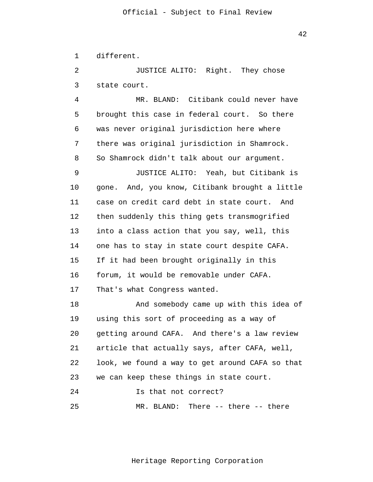1 different.

 2 3 JUSTICE ALITO: Right. They chose state court.

 4 **5**  $\overline{6}$  7 8 9 MR. BLAND: Citibank could never have brought this case in federal court. So there was never original jurisdiction here where there was original jurisdiction in Shamrock. So Shamrock didn't talk about our argument. JUSTICE ALITO: Yeah, but Citibank is

> 10 11 12 13 14 15 16 17 gone. And, you know, Citibank brought a little case on credit card debt in state court. And then suddenly this thing gets transmogrified into a class action that you say, well, this one has to stay in state court despite CAFA. If it had been brought originally in this forum, it would be removable under CAFA. That's what Congress wanted.

> 18 19 20 21 22 23 24 25 And somebody came up with this idea of using this sort of proceeding as a way of getting around CAFA. And there's a law review article that actually says, after CAFA, well, look, we found a way to get around CAFA so that we can keep these things in state court. Is that not correct? MR. BLAND: There -- there -- there

42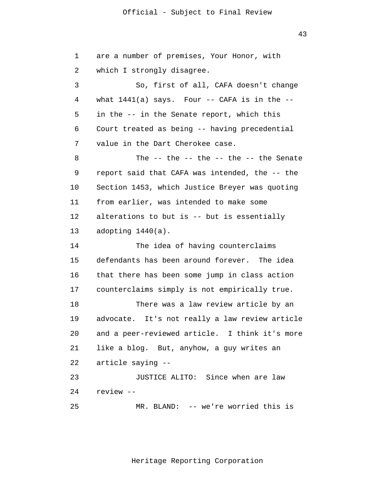1 2 3 4 **5**  $\overline{6}$  7 8 9 10 11 12 13 14 15 16 17 18 19 20 21 22 23 24 25 are a number of premises, Your Honor, with which I strongly disagree. So, first of all, CAFA doesn't change what  $1441(a)$  says. Four -- CAFA is in the -in the -- in the Senate report, which this Court treated as being -- having precedential value in the Dart Cherokee case. The  $--$  the  $--$  the  $--$  the  $--$  the Senate report said that CAFA was intended, the -- the Section 1453, which Justice Breyer was quoting from earlier, was intended to make some alterations to but is -- but is essentially adopting 1440(a). The idea of having counterclaims defendants has been around forever. The idea that there has been some jump in class action counterclaims simply is not empirically true. There was a law review article by an advocate. It's not really a law review article and a peer-reviewed article. I think it's more like a blog. But, anyhow, a guy writes an article saying -- JUSTICE ALITO: Since when are law review -- MR. BLAND: -- we're worried this is

43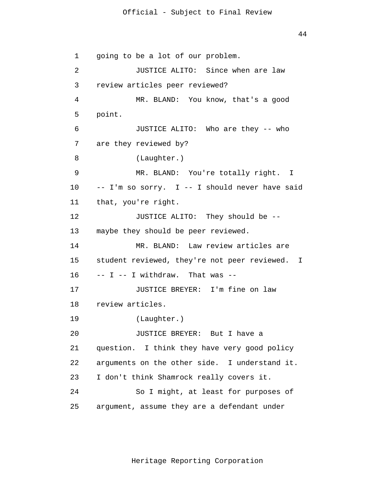```
 1 
 2 
 3 
 4 
5
\overline{6} 7 
 8 
 9 
            10 
            11 
            12 
            13 
            14 
            15 
            16 
            17 
            18 
            19 
            20 
            21 
            22 
            23 
            24 
            25 
                 going to be a lot of our problem. 
                         JUSTICE ALITO: Since when are law 
                 review articles peer reviewed? 
                         MR. BLAND: You know, that's a good 
                 point. 
                         JUSTICE ALITO: Who are they -- who 
                 are they reviewed by? 
                         (Laughter.) 
                         MR. BLAND: You're totally right. I 
                 -- I'm so sorry. I -- I should never have said
                 that, you're right. 
                         JUSTICE ALITO: They should be --
                 maybe they should be peer reviewed. 
                         MR. BLAND: Law review articles are 
                 student reviewed, they're not peer reviewed. I 
                 -- I -- I with draw. That was --JUSTICE BREYER: I'm fine on law 
                 review articles. 
                         (Laughter.) 
                         JUSTICE BREYER: But I have a 
                 question. I think they have very good policy 
                 arguments on the other side. I understand it. 
                 I don't think Shamrock really covers it. 
                         So I might, at least for purposes of 
                 argument, assume they are a defendant under
```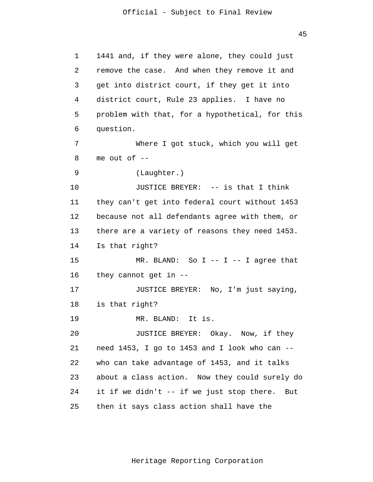1 2 3 4 **5**  $\overline{6}$  7 8 9 1441 and, if they were alone, they could just remove the case. And when they remove it and get into district court, if they get it into district court, Rule 23 applies. I have no problem with that, for a hypothetical, for this question. Where I got stuck, which you will get me out of  $-$ (Laughter.) JUSTICE BREYER: -- is that I think they can't get into federal court without 1453 because not all defendants agree with them, or there are a variety of reasons they need 1453. Is that right?  $MR.$  BLAND: So I -- I -- I agree that they cannot get in -- JUSTICE BREYER: No, I'm just saying, is that right? MR. BLAND: It is. JUSTICE BREYER: Okay. Now, if they need 1453, I go to 1453 and I look who can - who can take advantage of 1453, and it talks about a class action. Now they could surely do it if we didn't -- if we just stop there. But then it says class action shall have the

10

11

12

13

14

15

16

17

18

19

20

21

22

23

24

25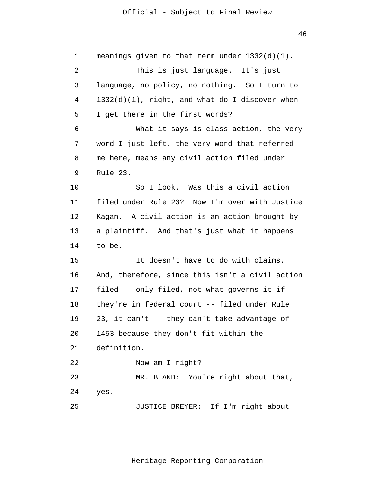46

 1 2 3 4 **5**  $\overline{6}$  7 8 9 10 11 12 13 14 15 16 17 18 19 20 21 22 23 24 25 meanings given to that term under 1332(d)(1). This is just language. It's just language, no policy, no nothing. So I turn to 1332(d)(1), right, and what do I discover when I get there in the first words? What it says is class action, the very word I just left, the very word that referred me here, means any civil action filed under Rule 23. So I look. Was this a civil action filed under Rule 23? Now I'm over with Justice Kagan. A civil action is an action brought by a plaintiff. And that's just what it happens to be. It doesn't have to do with claims. And, therefore, since this isn't a civil action filed -- only filed, not what governs it if they're in federal court -- filed under Rule 23, it can't -- they can't take advantage of 1453 because they don't fit within the definition. Now am I right? MR. BLAND: You're right about that, yes. JUSTICE BREYER: If I'm right about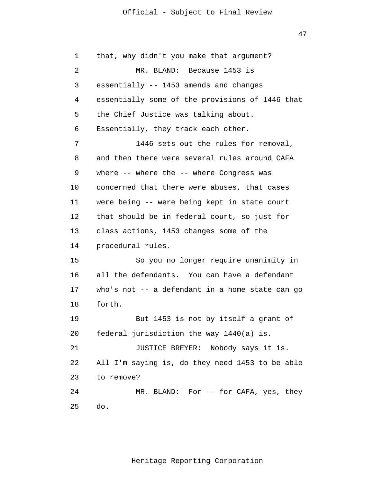| $\mathbf 1$ | that, why didn't you make that argument?        |
|-------------|-------------------------------------------------|
| 2           | MR. BLAND: Because 1453 is                      |
| 3           | essentially -- 1453 amends and changes          |
| 4           | essentially some of the provisions of 1446 that |
| 5           | the Chief Justice was talking about.            |
| 6           | Essentially, they track each other.             |
| 7           | 1446 sets out the rules for removal,            |
| 8           | and then there were several rules around CAFA   |
| 9           | where -- where the -- where Congress was        |
| 10          | concerned that there were abuses, that cases    |
| 11          | were being -- were being kept in state court    |
| 12          | that should be in federal court, so just for    |
| 13          | class actions, 1453 changes some of the         |
| 14          | procedural rules.                               |
| 15          | So you no longer require unanimity in           |
| 16          | all the defendants. You can have a defendant    |
| 17          | who's not -- a defendant in a home state can go |
| 18          | forth.                                          |
| 19          | But 1453 is not by itself a grant of            |
| 20          | federal jurisdiction the way 1440(a) is.        |
| 21          | JUSTICE BREYER: Nobody says it is.              |
| 22          | All I'm saying is, do they need 1453 to be able |
| 23          | to remove?                                      |
| 24          | MR. BLAND: For -- for CAFA, yes, they           |
| 25          | do.                                             |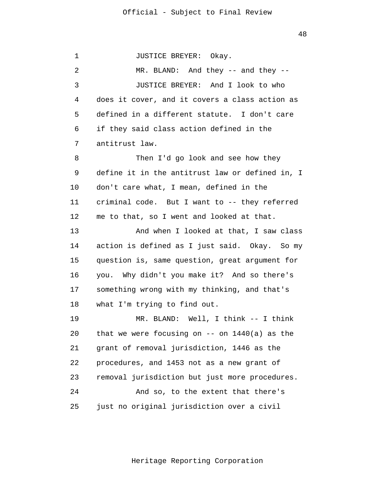1 2 3 4 **5**  $\overline{6}$  7 8 9 10 11 12 13 14 15 16 17 18 19 20 21 22 23 24 25 JUSTICE BREYER: Okay. MR. BLAND: And they -- and they -- JUSTICE BREYER: And I look to who does it cover, and it covers a class action as defined in a different statute. I don't care if they said class action defined in the antitrust law. Then I'd go look and see how they define it in the antitrust law or defined in, I don't care what, I mean, defined in the criminal code. But I want to -- they referred me to that, so I went and looked at that. And when I looked at that, I saw class action is defined as I just said. Okay. So my question is, same question, great argument for you. Why didn't you make it? And so there's something wrong with my thinking, and that's what I'm trying to find out. MR. BLAND: Well, I think -- I think that we were focusing on  $--$  on  $1440(a)$  as the grant of removal jurisdiction, 1446 as the procedures, and 1453 not as a new grant of removal jurisdiction but just more procedures. And so, to the extent that there's just no original jurisdiction over a civil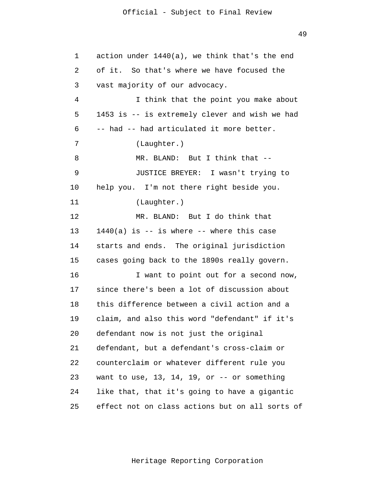| $\mathbf 1$ | action under 1440(a), we think that's the end         |
|-------------|-------------------------------------------------------|
| 2           | of it. So that's where we have focused the            |
| 3           | vast majority of our advocacy.                        |
| 4           | I think that the point you make about                 |
| 5           | 1453 is -- is extremely clever and wish we had        |
| 6           | -- had -- had articulated it more better.             |
| 7           | (Laughter.)                                           |
| 8           | MR. BLAND: But I think that --                        |
| 9           | JUSTICE BREYER: I wasn't trying to                    |
| 10          | help you. I'm not there right beside you.             |
| 11          | (Laughter.)                                           |
| 12          | MR. BLAND: But I do think that                        |
| 13          | $1440(a)$ is $-$ is where $-$ where this case         |
| 14          | starts and ends. The original jurisdiction            |
| 15          | cases going back to the 1890s really govern.          |
| 16          | I want to point out for a second now,                 |
| 17          | since there's been a lot of discussion about          |
| 18          | this difference between a civil action and a          |
| 19          | claim, and also this word "defendant" if it's         |
| 20          | defendant now is not just the original                |
| 21          | defendant, but a defendant's cross-claim or           |
| 22          | counterclaim or whatever different rule you           |
| 23          | want to use, $13$ , $14$ , $19$ , or $-$ or something |
| 24          | like that, that it's going to have a gigantic         |
| 25          | effect not on class actions but on all sorts of       |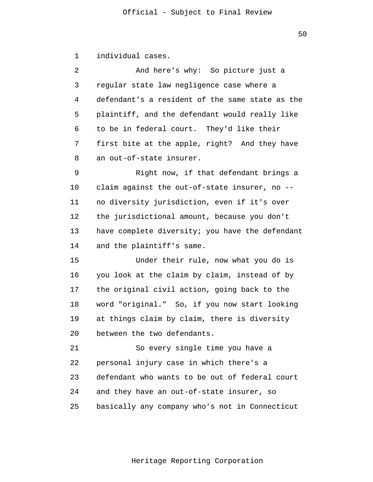1 individual cases.

| $\overline{2}$ | And here's why: So picture just a               |
|----------------|-------------------------------------------------|
| 3              | regular state law negligence case where a       |
| 4              | defendant's a resident of the same state as the |
| 5              | plaintiff, and the defendant would really like  |
| 6              | to be in federal court. They'd like their       |
| 7              | first bite at the apple, right? And they have   |
| 8              | an out-of-state insurer.                        |
| 9              | Right now, if that defendant brings a           |
| 10             | claim against the out-of-state insurer, no --   |
| 11             | no diversity jurisdiction, even if it's over    |
| 12             | the jurisdictional amount, because you don't    |
| 13             | have complete diversity; you have the defendant |
| 14             | and the plaintiff's same.                       |
| 15             | Under their rule, now what you do is            |
| 16             | you look at the claim by claim, instead of by   |
| 17             | the original civil action, going back to the    |
| 18             | word "original." So, if you now start looking   |
| 19             | at things claim by claim, there is diversity    |
| 20             | between the two defendants.                     |
| 21             | So every single time you have a                 |
| 22             | personal injury case in which there's a         |
| 23             | defendant who wants to be out of federal court  |
| 24             | and they have an out-of-state insurer, so       |
| 25             | basically any company who's not in Connecticut  |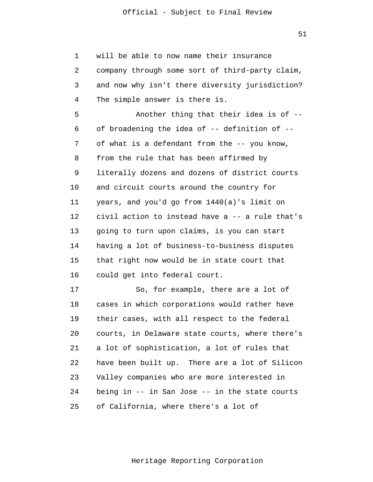51

 1 2 3 4 **5**  $\overline{6}$  7 8 9 10 11 12 13 14 15 16 17 18 19 20 21 22 23 24 25 will be able to now name their insurance company through some sort of third-party claim, and now why isn't there diversity jurisdiction? The simple answer is there is. Another thing that their idea is of - of broadening the idea of -- definition of - of what is a defendant from the -- you know, from the rule that has been affirmed by literally dozens and dozens of district courts and circuit courts around the country for years, and you'd go from 1440(a)'s limit on civil action to instead have a -- a rule that's going to turn upon claims, is you can start having a lot of business-to-business disputes that right now would be in state court that could get into federal court. So, for example, there are a lot of cases in which corporations would rather have their cases, with all respect to the federal courts, in Delaware state courts, where there's a lot of sophistication, a lot of rules that have been built up. There are a lot of Silicon Valley companies who are more interested in being in -- in San Jose -- in the state courts of California, where there's a lot of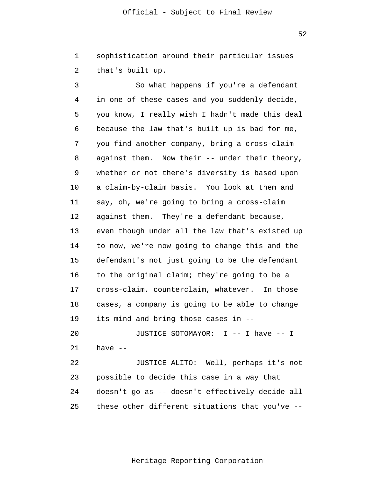1 2 sophistication around their particular issues that's built up.

 3 4 **5**  $\overline{6}$  7 8 9 10 11 12 13 14 15 16 17 18 19 20 21 So what happens if you're a defendant in one of these cases and you suddenly decide, you know, I really wish I hadn't made this deal because the law that's built up is bad for me, you find another company, bring a cross-claim against them. Now their -- under their theory, whether or not there's diversity is based upon a claim-by-claim basis. You look at them and say, oh, we're going to bring a cross-claim against them. They're a defendant because, even though under all the law that's existed up to now, we're now going to change this and the defendant's not just going to be the defendant to the original claim; they're going to be a cross-claim, counterclaim, whatever. In those cases, a company is going to be able to change its mind and bring those cases in -- JUSTICE SOTOMAYOR: I -- I have -- I have --

> 22 23 24 25 JUSTICE ALITO: Well, perhaps it's not possible to decide this case in a way that doesn't go as -- doesn't effectively decide all these other different situations that you've --

> > Heritage Reporting Corporation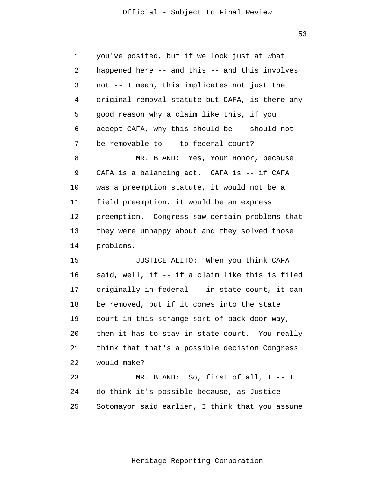53

 1 2 3 4 **5**  $\overline{6}$  7 8 9 10 11 12 13 14 15 16 17 18 19 20 21 22 23 24 25 you've posited, but if we look just at what happened here -- and this -- and this involves not -- I mean, this implicates not just the original removal statute but CAFA, is there any good reason why a claim like this, if you accept CAFA, why this should be -- should not be removable to -- to federal court? MR. BLAND: Yes, Your Honor, because CAFA is a balancing act. CAFA is -- if CAFA was a preemption statute, it would not be a field preemption, it would be an express preemption. Congress saw certain problems that they were unhappy about and they solved those problems. JUSTICE ALITO: When you think CAFA said, well, if -- if a claim like this is filed originally in federal -- in state court, it can be removed, but if it comes into the state court in this strange sort of back-door way, then it has to stay in state court. You really think that that's a possible decision Congress would make? MR. BLAND: So, first of all, I -- I do think it's possible because, as Justice Sotomayor said earlier, I think that you assume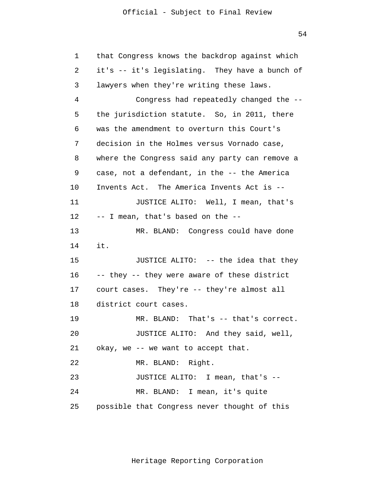54

| $\mathbf 1$    | that Congress knows the backdrop against which |
|----------------|------------------------------------------------|
| $\overline{a}$ | it's -- it's legislating. They have a bunch of |
| 3              | lawyers when they're writing these laws.       |
| 4              | Congress had repeatedly changed the --         |
| 5              | the jurisdiction statute. So, in 2011, there   |
| 6              | was the amendment to overturn this Court's     |
| 7              | decision in the Holmes versus Vornado case,    |
| 8              | where the Congress said any party can remove a |
| 9              | case, not a defendant, in the -- the America   |
| 10             | Invents Act. The America Invents Act is --     |
| 11             | JUSTICE ALITO: Well, I mean, that's            |
| 12             | -- I mean, that's based on the --              |
| 13             | MR. BLAND: Congress could have done            |
| 14             | it.                                            |
| 15             | JUSTICE ALITO: -- the idea that they           |
| 16             | -- they -- they were aware of these district   |
| 17             | court cases. They're -- they're almost all     |
| 18             | district court cases.                          |
| 19             | MR. BLAND: That's -- that's correct.           |
| 20             | JUSTICE ALITO: And they said, well,            |
| 21             | okay, we -- we want to accept that.            |
| 22             | MR. BLAND: Right.                              |
| 23             | JUSTICE ALITO: I mean, that's --               |
| 24             | MR. BLAND: I mean, it's quite                  |
| 25             | possible that Congress never thought of this   |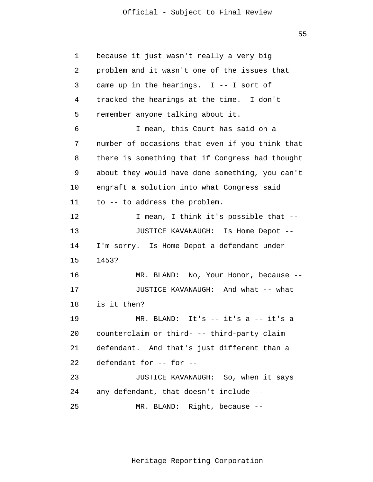$55$ 

 1 2 3 4 **5**  $\overline{6}$  7 8 9 10 11 12 13 14 15 16 17 18 19 20 21 22 23 24 25 because it just wasn't really a very big problem and it wasn't one of the issues that came up in the hearings. I -- I sort of tracked the hearings at the time. I don't remember anyone talking about it. I mean, this Court has said on a number of occasions that even if you think that there is something that if Congress had thought about they would have done something, you can't engraft a solution into what Congress said to -- to address the problem. I mean, I think it's possible that -- JUSTICE KAVANAUGH: Is Home Depot -- I'm sorry. Is Home Depot a defendant under 1453? MR. BLAND: No, Your Honor, because -- JUSTICE KAVANAUGH: And what -- what is it then? MR. BLAND: It's -- it's a -- it's a counterclaim or third- -- third-party claim defendant. And that's just different than a defendant for -- for -- JUSTICE KAVANAUGH: So, when it says any defendant, that doesn't include -- MR. BLAND: Right, because --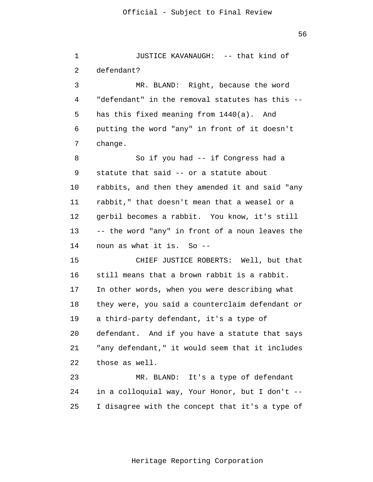1 2 3 4 **5**  $\overline{6}$  7 8 9 10 11 12 13 14 15 16 17 18 19 20 21 22 23 24 JUSTICE KAVANAUGH: -- that kind of defendant? MR. BLAND: Right, because the word "defendant" in the removal statutes has this - has this fixed meaning from 1440(a). And putting the word "any" in front of it doesn't change. So if you had -- if Congress had a statute that said -- or a statute about rabbits, and then they amended it and said "any rabbit," that doesn't mean that a weasel or a gerbil becomes a rabbit. You know, it's still -- the word "any" in front of a noun leaves the noun as what it is. So -- CHIEF JUSTICE ROBERTS: Well, but that still means that a brown rabbit is a rabbit. In other words, when you were describing what they were, you said a counterclaim defendant or a third-party defendant, it's a type of defendant. And if you have a statute that says "any defendant," it would seem that it includes those as well. MR. BLAND: It's a type of defendant in a colloquial way, Your Honor, but I don't --

> 25 I disagree with the concept that it's a type of

> > Heritage Reporting Corporation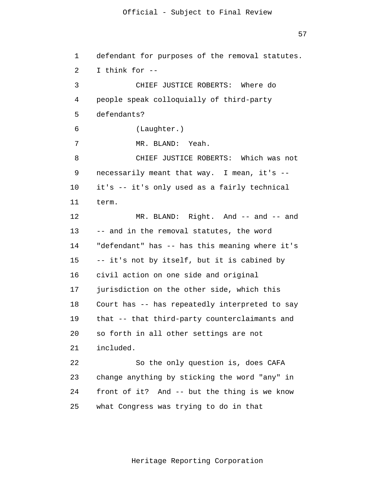57

 1 2 3 4 **5**  $\overline{6}$  7 8 9 10 11 12 13 14 15 16 17 18 19 20 21 22 23 24 25 defendant for purposes of the removal statutes. I think for -- CHIEF JUSTICE ROBERTS: Where do people speak colloquially of third-party defendants? (Laughter.) MR. BLAND: Yeah. CHIEF JUSTICE ROBERTS: Which was not necessarily meant that way. I mean, it's - it's -- it's only used as a fairly technical term. MR. BLAND: Right. And -- and -- and -- and in the removal statutes, the word "defendant" has -- has this meaning where it's -- it's not by itself, but it is cabined by civil action on one side and original jurisdiction on the other side, which this Court has -- has repeatedly interpreted to say that -- that third-party counterclaimants and so forth in all other settings are not included. So the only question is, does CAFA change anything by sticking the word "any" in front of it? And -- but the thing is we know what Congress was trying to do in that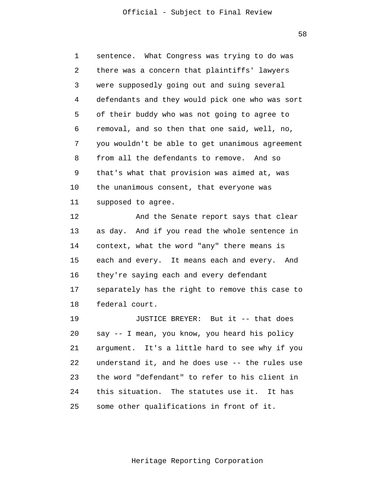58

 1 2 3 4 **5**  6 7 8 9 10 11 sentence. What Congress was trying to do was there was a concern that plaintiffs' lawyers were supposedly going out and suing several defendants and they would pick one who was sort of their buddy who was not going to agree to removal, and so then that one said, well, no, you wouldn't be able to get unanimous agreement from all the defendants to remove. And so that's what that provision was aimed at, was the unanimous consent, that everyone was supposed to agree.

> 12 13 14 15 16 17 18 And the Senate report says that clear as day. And if you read the whole sentence in context, what the word "any" there means is each and every. It means each and every. And they're saying each and every defendant separately has the right to remove this case to federal court.

> 19 20 21 22 23 24 25 JUSTICE BREYER: But it -- that does say -- I mean, you know, you heard his policy argument. It's a little hard to see why if you understand it, and he does use -- the rules use the word "defendant" to refer to his client in this situation. The statutes use it. It has some other qualifications in front of it.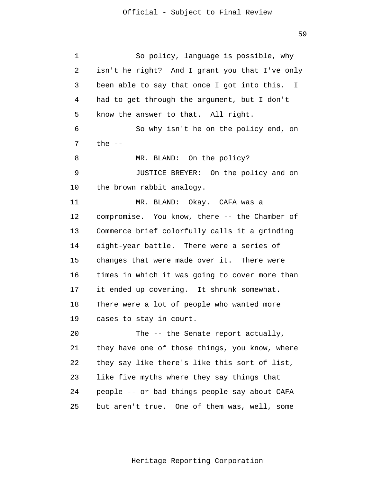1 2 3 4 **5**  6 7 8 9 10 11 12 13 14 15 16 17 18 19 20 21 22 23 24 25 So policy, language is possible, why isn't he right? And I grant you that I've only been able to say that once I got into this. I had to get through the argument, but I don't know the answer to that. All right. So why isn't he on the policy end, on the  $--$ MR. BLAND: On the policy? JUSTICE BREYER: On the policy and on the brown rabbit analogy. MR. BLAND: Okay. CAFA was a compromise. You know, there -- the Chamber of Commerce brief colorfully calls it a grinding eight-year battle. There were a series of changes that were made over it. There were times in which it was going to cover more than it ended up covering. It shrunk somewhat. There were a lot of people who wanted more cases to stay in court. The -- the Senate report actually, they have one of those things, you know, where they say like there's like this sort of list, like five myths where they say things that people -- or bad things people say about CAFA but aren't true. One of them was, well, some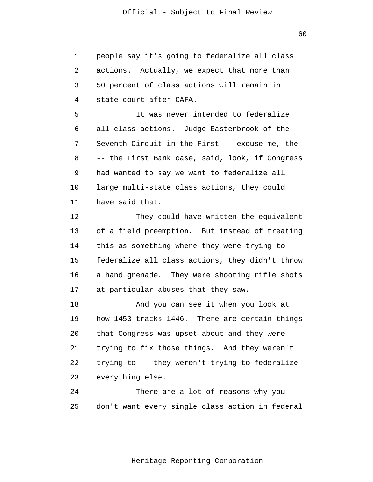1 2 3 4 people say it's going to federalize all class actions. Actually, we expect that more than 50 percent of class actions will remain in state court after CAFA.

**5**  6 7 8 9 10 11 It was never intended to federalize all class actions. Judge Easterbrook of the Seventh Circuit in the First -- excuse me, the -- the First Bank case, said, look, if Congress had wanted to say we want to federalize all large multi-state class actions, they could have said that.

> 12 13 14 15 16 17 They could have written the equivalent of a field preemption. But instead of treating this as something where they were trying to federalize all class actions, they didn't throw a hand grenade. They were shooting rifle shots at particular abuses that they saw.

> 18 19 20 21 22 23 And you can see it when you look at how 1453 tracks 1446. There are certain things that Congress was upset about and they were trying to fix those things. And they weren't trying to -- they weren't trying to federalize everything else.

> 24 25 There are a lot of reasons why you don't want every single class action in federal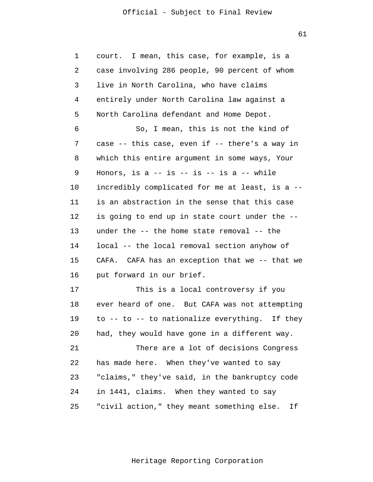61

| $\mathbf 1$ | court. I mean, this case, for example, is a       |
|-------------|---------------------------------------------------|
| 2           | case involving 286 people, 90 percent of whom     |
| 3           | live in North Carolina, who have claims           |
| 4           | entirely under North Carolina law against a       |
| 5           | North Carolina defendant and Home Depot.          |
| 6           | So, I mean, this is not the kind of               |
| 7           | case -- this case, even if -- there's a way in    |
| 8           | which this entire argument in some ways, Your     |
| 9           | Honors, is a $--$ is $--$ is $--$ is a $--$ while |
| 10          | incredibly complicated for me at least, is a --   |
| 11          | is an abstraction in the sense that this case     |
| 12          | is going to end up in state court under the --    |
| 13          | under the -- the home state removal -- the        |
| 14          | local -- the local removal section anyhow of      |
| 15          | CAFA has an exception that we -- that we<br>CAFA. |
| 16          | put forward in our brief.                         |
| 17          | This is a local controversy if you                |
| 18          | ever heard of one. But CAFA was not attempting    |
| 19          | to -- to -- to nationalize everything.<br>If they |
| 20          | had, they would have gone in a different way.     |
| 21          | There are a lot of decisions Congress             |
| 22          | has made here. When they've wanted to say         |
| 23          | "claims," they've said, in the bankruptcy code    |
| 24          | in 1441, claims. When they wanted to say          |
| 25          | "civil action," they meant something else.<br>If  |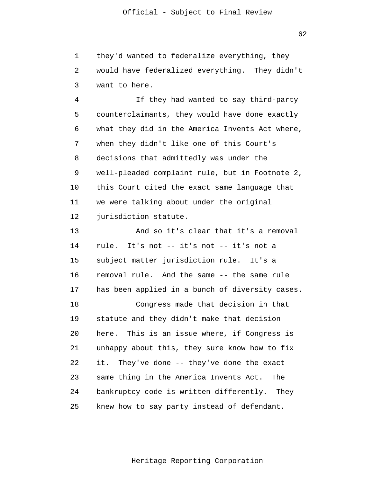1 2 3 they'd wanted to federalize everything, they would have federalized everything. They didn't want to here.

 4 **5**  $\overline{6}$  7 8 9 10 11 12 If they had wanted to say third-party counterclaimants, they would have done exactly what they did in the America Invents Act where, when they didn't like one of this Court's decisions that admittedly was under the well-pleaded complaint rule, but in Footnote 2, this Court cited the exact same language that we were talking about under the original jurisdiction statute.

> 13 14 15 16 17 18 19 20 21 22 23 24 25 And so it's clear that it's a removal rule. It's not -- it's not -- it's not a subject matter jurisdiction rule. It's a removal rule. And the same -- the same rule has been applied in a bunch of diversity cases. Congress made that decision in that statute and they didn't make that decision here. This is an issue where, if Congress is unhappy about this, they sure know how to fix it. They've done -- they've done the exact same thing in the America Invents Act. The bankruptcy code is written differently. They knew how to say party instead of defendant.

> > Heritage Reporting Corporation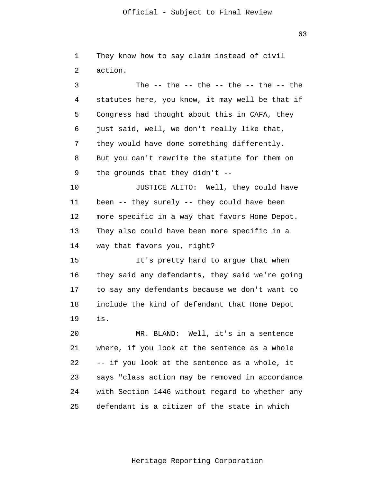$63$ 

| 1  | They know how to say claim instead of civil      |
|----|--------------------------------------------------|
| 2  | action.                                          |
| 3  | The $--$ the $--$ the $--$ the $--$ the $--$ the |
| 4  | statutes here, you know, it may well be that if  |
| 5  | Congress had thought about this in CAFA, they    |
| 6  | just said, well, we don't really like that,      |
| 7  | they would have done something differently.      |
| 8  | But you can't rewrite the statute for them on    |
| 9  | the grounds that they didn't $-$ -               |
| 10 | JUSTICE ALITO: Well, they could have             |
| 11 | been -- they surely -- they could have been      |
| 12 | more specific in a way that favors Home Depot.   |
| 13 | They also could have been more specific in a     |
| 14 | way that favors you, right?                      |
| 15 | It's pretty hard to argue that when              |
| 16 | they said any defendants, they said we're going  |
| 17 | to say any defendants because we don't want to   |
| 18 | include the kind of defendant that Home Depot    |
| 19 | is.                                              |
| 20 | MR. BLAND: Well, it's in a sentence              |
| 21 | where, if you look at the sentence as a whole    |
| 22 | -- if you look at the sentence as a whole, it    |
| 23 | says "class action may be removed in accordance  |
| 24 | with Section 1446 without regard to whether any  |
| 25 | defendant is a citizen of the state in which     |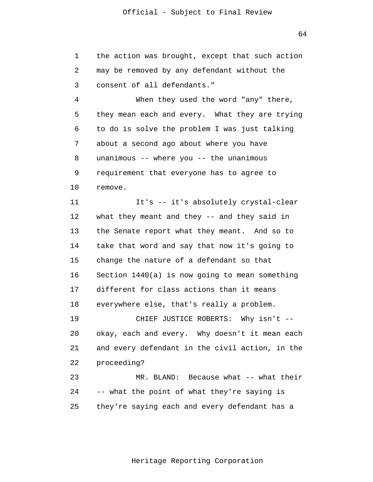1 2 3 the action was brought, except that such action may be removed by any defendant without the consent of all defendants."

 4 **5**  $\overline{6}$  7 8 9 10 When they used the word "any" there, they mean each and every. What they are trying to do is solve the problem I was just talking about a second ago about where you have unanimous -- where you -- the unanimous requirement that everyone has to agree to remove.

> 11 12 13 14 15 16 17 18 It's -- it's absolutely crystal-clear what they meant and they -- and they said in the Senate report what they meant. And so to take that word and say that now it's going to change the nature of a defendant so that Section 1440(a) is now going to mean something different for class actions than it means everywhere else, that's really a problem.

 19 20 21 22 23 CHIEF JUSTICE ROBERTS: Why isn't - okay, each and every. Why doesn't it mean each and every defendant in the civil action, in the proceeding? MR. BLAND: Because what -- what their

 24 25 -- what the point of what they're saying is they're saying each and every defendant has a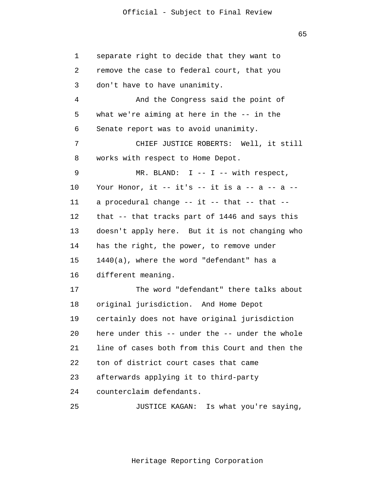| $\mathbf 1$ | separate right to decide that they want to      |
|-------------|-------------------------------------------------|
| 2           | remove the case to federal court, that you      |
| 3           | don't have to have unanimity.                   |
| 4           | And the Congress said the point of              |
| 5           | what we're aiming at here in the $-$ in the     |
| 6           | Senate report was to avoid unanimity.           |
| 7           | CHIEF JUSTICE ROBERTS: Well, it still           |
| 8           | works with respect to Home Depot.               |
| 9           | MR. BLAND: $I$ -- $I$ -- with respect,          |
| 10          | Your Honor, it -- it's -- it is a -- a -- a --  |
| 11          | a procedural change -- it -- that -- that --    |
| 12          | that -- that tracks part of 1446 and says this  |
| 13          | doesn't apply here. But it is not changing who  |
| 14          | has the right, the power, to remove under       |
| 15          | 1440(a), where the word "defendant" has a       |
| 16          | different meaning.                              |
| 17          | The word "defendant" there talks about          |
| 18          | original jurisdiction. And Home Depot           |
| 19          | certainly does not have original jurisdiction   |
| 20          | here under this -- under the -- under the whole |
| 21          | line of cases both from this Court and then the |
| 22          | ton of district court cases that came           |
| 23          | afterwards applying it to third-party           |
| 24          | counterclaim defendants.                        |
| 25          | Is what you're saying,<br>JUSTICE KAGAN:        |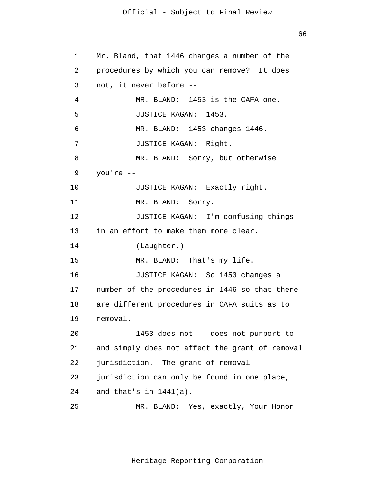$66$ 

```
 1 
 2 
 3 
 4 
5
\overline{6} 7 
 8 
 9 
            10 
            11 
            12 
            13 
            14 
            15 
            16 
            17 
            18 
            19 
            20 
            21 
            22 
            23 
            24 
            25 
                 Mr. Bland, that 1446 changes a number of the 
                 procedures by which you can remove? It does 
                 not, it never before --
                         MR. BLAND: 1453 is the CAFA one. 
                         JUSTICE KAGAN: 1453. 
                         MR. BLAND: 1453 changes 1446. 
                         JUSTICE KAGAN: Right. 
                         MR. BLAND: Sorry, but otherwise 
                 you're --
                         JUSTICE KAGAN: Exactly right. 
                         MR. BLAND: Sorry. 
                         JUSTICE KAGAN: I'm confusing things 
                 in an effort to make them more clear. 
                         (Laughter.) 
                         MR. BLAND: That's my life. 
                         JUSTICE KAGAN: So 1453 changes a 
                 number of the procedures in 1446 so that there 
                 are different procedures in CAFA suits as to 
                 removal. 
                         1453 does not -- does not purport to 
                 and simply does not affect the grant of removal 
                 jurisdiction. The grant of removal 
                 jurisdiction can only be found in one place, 
                 and that's in 1441(a). 
                         MR. BLAND: Yes, exactly, Your Honor.
```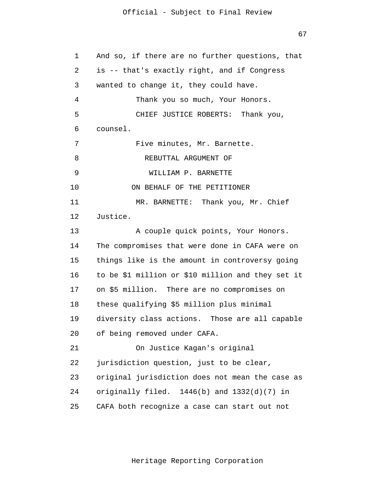67

 1 2 3 4 **5**  $\overline{6}$  7 8 9 10 11 12 13 14 15 16 17 18 19 20 21 22 23 24 25 And so, if there are no further questions, that is -- that's exactly right, and if Congress wanted to change it, they could have. Thank you so much, Your Honors. CHIEF JUSTICE ROBERTS: Thank you, counsel. Five minutes, Mr. Barnette. REBUTTAL ARGUMENT OF WILLIAM P. BARNETTE ON BEHALF OF THE PETITIONER MR. BARNETTE: Thank you, Mr. Chief Justice. A couple quick points, Your Honors. The compromises that were done in CAFA were on things like is the amount in controversy going to be \$1 million or \$10 million and they set it on \$5 million. There are no compromises on these qualifying \$5 million plus minimal diversity class actions. Those are all capable of being removed under CAFA. On Justice Kagan's original jurisdiction question, just to be clear, original jurisdiction does not mean the case as originally filed. 1446(b) and 1332(d)(7) in CAFA both recognize a case can start out not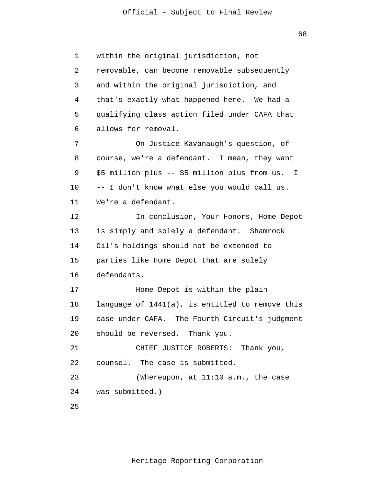68

 1 2 3 4 **5**  $\overline{6}$  7 8 9 10 11 12 13 14 15 16 17 18 19 20 21 22 23 24 25 within the original jurisdiction, not removable, can become removable subsequently and within the original jurisdiction, and that's exactly what happened here. We had a qualifying class action filed under CAFA that allows for removal. On Justice Kavanaugh's question, of course, we're a defendant. I mean, they want \$5 million plus -- \$5 million plus from us. I -- I don't know what else you would call us. We're a defendant. In conclusion, Your Honors, Home Depot is simply and solely a defendant. Shamrock Oil's holdings should not be extended to parties like Home Depot that are solely defendants. Home Depot is within the plain language of 1441(a), is entitled to remove this case under CAFA. The Fourth Circuit's judgment should be reversed. Thank you. CHIEF JUSTICE ROBERTS: Thank you, counsel. The case is submitted. (Whereupon, at 11:10 a.m., the case was submitted.)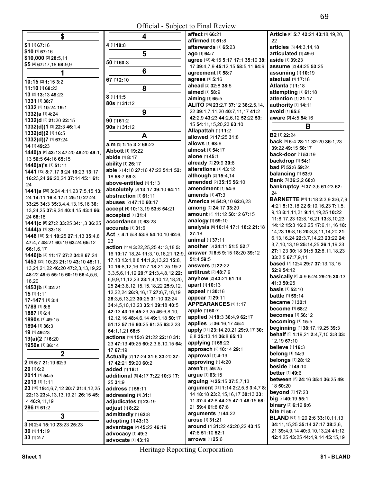| \$                                            | 4                                                                              | affect [1] 66:21                                                         | Article [6] 5:7 42:2                      |
|-----------------------------------------------|--------------------------------------------------------------------------------|--------------------------------------------------------------------------|-------------------------------------------|
| \$1 [1] 67:16                                 | 4 [1] 18:8                                                                     | affirmed [1] 51:8                                                        | 22                                        |
| \$10 [1] 67:16                                |                                                                                | afterwards [1] 65:23                                                     | articles [3] 44:3,14                      |
| \$10,000 [2] 28:5,11                          | 5                                                                              | ago [1] 64:7                                                             | articulated [1] 49:6                      |
| \$5 [4] 67:17,18 68:9,9                       | 50 [1] 60:3                                                                    | agree [13] 4:15 5:17 17:1 35:10 38:<br>17 39:4.7.9 45:12.15 58:5.11 64:9 | aside [1] 39:23<br>assume [2] 44:25 5     |
| 1                                             | 6                                                                              | agreement [1] 58:7                                                       | assuming [1] 10:1                         |
|                                               | 67 [1] 2:10                                                                    | agrees [1] 5:16                                                          | atextual [1] 17:18                        |
| 10:15 [2] 1:15 3:2                            |                                                                                | ahead [2] 32:8 38:5                                                      | <b>Atlanta [1] 1:18</b>                   |
| 11:10 [1] 68:23                               | 8                                                                              | aimed [1] 58:9                                                           | attempting [1] 61:                        |
| 13 [2] 13:13 49:23                            | 8 [1] 11:5                                                                     | aiming [1] 65:5                                                          | attention [1] 21:17                       |
| 1331 [1] 38:7<br>1332 [2] 10:24 19:1          | 80s [1] 31:12                                                                  | ALITO [28] 23:2,7 37:12 38:2,5,14,                                       | authority [1] 14:11                       |
| 1332(a [1] 4:24                               | 9                                                                              | 22 39:1,7,11,20 40:7,11,17 41:2                                          | avoid [1] 65:6                            |
| 1332(d [2] 21:20 22:15                        | 90 [1] 61:2                                                                    | 42:2,9 43:23 44:2,6,12 52:22 53:                                         | aware [2] 4:5 54:16                       |
| 1332(d)(1 [3] 22:3 46:1,4                     | 90s [1] 31:12                                                                  | 15 54:11,15,20,23 63:10                                                  | В                                         |
| 1332(d)(2 [1] 16:5                            |                                                                                | Allapattah [1] 11:2                                                      |                                           |
| 1332(d)(7 [1] 67:24                           | A                                                                              | allowed [2] 17:25 31:8                                                   | <b>B2</b> [1] 22:24                       |
| 14 [1] 49:23                                  | a.m [3] 1:15 3:2 68:23                                                         | allows [1] 68:6                                                          | back [8] 6:4 28:11 :<br>39:22 49:15 50:17 |
| 1440(a [8] 43:13 47:20 48:20 49:1,            | Abbott [1] 19:22                                                               | almost [1] 54:17                                                         | back-door [1] 53:1                        |
| 13 56:5 64:16 65:15                           | abide [1] 8:17                                                                 | alone [1] 45:1                                                           | backdrop [1] 54:1                         |
| 1440(a)'s [1] 51:11                           | ability [1] 26:17                                                              | already [2] 29:9 30:8                                                    | <b>bad</b> [2] <b>52:</b> 6 <b>59:24</b>  |
| 1441 [12] 8:7,17 9:24 10:23 13:17             | able [7] 4:10 27:16 47:22 51:1 52:                                             | alterations [1] 43:12<br>although [2] 15:4,14                            | balancing [1] 53:9                        |
| 16:23,24 26:20,24 37:14 45:1 61:              | 18 58:7 59:3                                                                   | amended [2] 35:15 56:10                                                  | Bank [3] 36:2,2 60:                       |
| 24                                            | above-entitled [1] 1:13                                                        | amendment [1] 54:6                                                       | bankruptcy [4] 37:                        |
| 1441(a [29] 3:24 4:11,23 7:5,15 13:           | absolutely [3] 13:17 39:10 64:11<br>abstraction [1] 61:11                      | amends [1] 47:3                                                          | 24                                        |
| 24 14:11 16:4 17:1 25:10 27:24                | abuses [2] 47:10 60:17                                                         | America [4] 54:9,10 62:6,23                                              | <b>BARNETTE [81] 1:</b>                   |
| 33:25 34:3 35:3,4,4,13,15,16 36:              | accept [4] 10:13,19 53:6 54:21                                                 | among [2] 24:17 33:20                                                    | 4:21 5:13,18,22 6:                        |
| 13,24,25 37:9,24 40:4,15 43:4 66:<br>24 68:18 | accepted [1] 31:4                                                              | amount [3] 11:12 50:12 67:15                                             | 9,13 8:1,11,21 9:1                        |
| 1441(c [5] 27:2 33:25 34:1,3 36:25            | accordance [1] 63:23                                                           | analogy [1] 59:10                                                        | 11:8,17,23 12:8,16                        |
| 1444(a [1] 33:18                              | accurate [1] 31:6                                                              | analysis [5] 10:14 17:1 18:2 21:18                                       | 14:12 15:3 16:2,25                        |
| 1446 [15] 5:1 10:25 27:1,13 35:4,8            | Act [7] 4:1 5:8 53:9 54:10,10 62:6,                                            | 27:18                                                                    | 14,23 19:8,16 20:3                        |
| 47:4,7 48:21 60:19 63:24 65:12                | 23                                                                             | animal [1] 37:11                                                         | 6,13,16,24 22:3,7,                        |
| 66:1,6,17                                     | action [116] 3:22,25,25 4:13,18 5:                                             | another [3] 24:11 51:5 52:7                                              | 3,7,10,13,19 25:14<br>27:1,23 30:18 31:5  |
| 1446(b [4] 11:17 27:2 34:8 67:24              | 16 10:17, 18, 24 11:3, 10, 16, 21 12:9,                                        | answer [6] 8:5 9:15 18:20 39:12                                          | 33:2,5 67:7,9,11                          |
| 1453 [23] 10:23 21:19 43:10 45:11,            | 17, 18 13: 1, 8, 8 14: 1, 2, 13, 23 15: 8,                                     | 51:4 59:5                                                                | based [7] 12:4 29:7                       |
| 13, 21, 21, 22 46: 20 47: 2, 3, 13, 19, 22    | 10 16:8, 12, 16 17:7 18:21, 25 19:2,                                           | <b>answers</b> [1] 22:22                                                 | 52:9 54:12                                |
| 48:22 49:5 55:15 60:19 66:4,5,6,              | 3, 3, 5, 6, 11, 12 20: 7 21: 3, 4, 8, 12 22:                                   | <b>antitrust</b> [2] 48:7,9<br>anyhow [2] 43:21 61:14                    | basically [6] 4:9 5:                      |
| 16,20                                         | 6,9,9,11,12,23 23:1,4,10,12,18,20,                                             | apart [1] 10:13                                                          | 41:3 50:25                                |
| 1453(b [1] 32:21                              | 25 24:3,8,12,15,15,18,22 25:9,12,<br>12, 22, 24 26: 9, 16, 17 27: 6, 7, 18, 19 | appeal [1] 30:16                                                         | <b>basis</b> [1] 52:10                    |
| $15$ [1] $1:11$                               | 28:3,5,13,23 30:25 31:10 32:24                                                 | appear [1] 29:11                                                         | <b>battle</b> [1] 59:14                   |
| 17-1471 [1] 3:4<br>1789 [1] 5:8               | 34:4,5,10,13,23 35:1 39:18 40:5                                                | APPEARANCES [1] 1:17                                                     | became [1] 32:1                           |
| 1887 [1] 6:4                                  | 42:13 43:16 45:23,25 46:6,8,10,                                                | apple [1] 50:7                                                           | become [1] 68:2                           |
| 1890s [1] 49:15                               | 12, 12, 16 48: 4, 6, 14 49: 1, 18 50: 17                                       | applied [4] 18:3 36:4,9 62:17                                            | becomes [1] 56:12                         |
| 1894 [1] 36:3                                 | 51:12 57:16 60:25 61:25 63:2.23                                                | applies [3] 36:16,17 45:4                                                | becoming [1] 15:5                         |
| 19 [1] 49:23                                  | 64:1,1,21 68:5                                                                 | apply [11] 23:14,20,21 29:9,17 30:                                       | beginning [4] 38:1                        |
| <b>19(a)(2 [1] 6:20</b>                       | actions [13] 15:6 21:22 22:10 31:                                              | 6,8 35:13,14 36:8 65:13                                                  | behalf [9] 1:19,21 2<br>12,19 67:10       |
| 1950s [1] 36:14                               | 23 47:13 49:25 60:2,3,6,10,15 64:                                              | applying [1] 65:23                                                       | <b>believe</b> [1] 16:3                   |
| $\mathbf 2$                                   | 17 67:19                                                                       | approach [2] 10:14 29:1                                                  | <b>belong</b> [1] 14:9                    |
|                                               | Actually [7] 17:24 31:6 33:20 37:                                              | approval [1] 4:19                                                        | <b>belongs</b> [1] 28:12                  |
| 2 [3] 5:7 21:19 62:9                          | 17 42:21 59:20 60:2                                                            | approving [1] 4:20<br>aren't [1] 59:25                                   | <b>beside</b> [1] 49:10                   |
| 20 [1] 6:2                                    | added [1] 18:1                                                                 | argue [1] 63:15                                                          | <b>better</b> [1] 49:6                    |
| 2011 [1] 54:5<br>2019 [1] 1:11                | additional [5] 4:17 7:22 10:3 17:                                              | arguing [4] 25:15 37:5,7,13                                              | <b>between</b> [5] 24:16                  |
| 23 [19] 19:4,6,7,12 20:7 21:4,12,25           | 25 31:9<br>address [1] 55:11                                                   | argument [23] 1:14 2:2,5,8 3:4,7 8:                                      | 18 50:20                                  |
| 22:13 23:4,13,13,19,21 26:15 45:              | addressing [1] 31:1                                                            | 14 18:18 23:2,15,16,17 30:13 33:                                         | <b>beyond</b> [1] 17:23                   |
| 4 46:9,11,19                                  | adjudicates [1] 23:19                                                          | 11 37:4 42:8 44:25 47:1 48:15 58:                                        | big [2] 40:19 55:1                        |
| 286 [1] 61:2                                  | adjust [1] 8:22                                                                | 21 59:4 61:8 67:8                                                        | <b>binary</b> $[2]$ 6:12 9:6              |
|                                               | admittedly [1] 62:8                                                            | arguments [1] 44:22                                                      | bite [1] 50:7                             |
| 3                                             | adopting [1] 43:13                                                             | arose [1] 31:21                                                          | <b>BLAND</b> [61] 1:20 2:                 |
| 3 [4] 2:4 15:10 23:23 25:23                   | advantage [2] 45:22 46:19                                                      | around [7] 31:22 42:20,22 43:15                                          | 34:11,15,25 35:14                         |
| 30 [1] 11:19                                  |                                                                                | 47.851.1052.1                                                            | 21 39:4,9,14 40:3,                        |

**4 affect** [1] **66:**21 **affirmed** [1] **51:**8 **afterwards** [1] **65:**23 **ago** [1] **64:**7 **agree** [13] **4:**15 **5:**17 **17:**1 **35:**10 **38:**  17 **39:**4,7,9 **45:**12,15 **58:**5,11 **64:**9 **agreement** [1] **58:**7 **agrees** [1] **5:**16 **ahead** [2] **32:**8 **38:**5 **aimed** [1] **58:**9 **aiming** [1] **65:**5 **ALITO** [28] **23:**2,7 **37:**12 **38:**2,5,14, 22 **39:**1,7,11,20 **40:**7,11,17 **41:**2 **42:**2,9 **43:**23 **44:**2,6,12 **52:**22 **53: Allapattah** [1] **11:**2 **allowed** [2] **17:**25 **31:**8 **allows** [1] **68:**6 **almost** [1] **54:**17 **alone** [1] **45:**1 **already** [2] **29:**9 **30:**8 **alterations** [1] **43:**12 **although** [2] **15:**4,14 **amended** [2] **35:**15 **56:**10 **amendment** [1] **54:**6 **amends** [1] **47:**3 **America** [4] **54:**9,10 **62:**6,23 **among** [2] **24:**17 **33:**20 **amount** [3] **11:**12 **50:**12 **67:**15 **analogy** [1] **59:**10 **analysis** [5] **10:**14 **17:**1 **18:**2 **21:**18 **27:**18 **animal** [1] **37:**11 **another** [3] **24:**11 **51:**5 **52:**7 **answer** [6] **8:**5 **9:**15 **18:**20 **39:**12 **51:**4 **59:**5 **answers** [1] **22:**22 **antitrust** [2] **48:**7,9 **anyhow** [2] **43:**21 **61:**14 **apart** [1] **10:**13 **appeal** [1] **30:**16 **appear** [1] **29:**11 **APPEARANCES** [1] **1:**17 **apple** [1] **50:**7 **applied** [4] **18:**3 **36:**4,9 **62:**17 **applies** [3] **36:**16,17 **45:**4 **apply** [11] **23:**14,20,21 **29:**9,17 **30:**  6,8 **35:**13,14 **36:**8 **65:**13 **applying** [1] **65:**23 **approach** [2] **10:**14 **29:**1 **approval** [1] **4:**19 **2**<br>**22**(1112) **59:20 50:20 approving** [1] **4:20 belongs** [1] **28:12**<br>**and** [1] **18:10 beside** [1] **49:10 <sup>2011</sup>**[1] **54:**5 **additional** [5] **4:**17 **7:**22 **10:**3 **17: argue** [1] **63:**15 **better** [1] **49:**<sup>6</sup> **<sup>2019</sup>**[1] **1:**11 25 **31:**9 **arguing** [4] **25:**15 **37:**5,7,13 **between** [5] **24:**16 **35:**4 **36:**25 **49: 23**<br>**14.18:18.23:**2.15.16.17.20:13.23. **beyond** [1] **17:23 22:**13 **23:**4,13,13,19,21 **26:**15 **45: addressing** [1] **31:**1 14 **18:**18 **23:**2,15,16,17 **30:**13 **33: beyond** [1] **17:**<sup>23</sup> <sup>4</sup>**46:**9,11,19 **adjudicates** [1] **23:**19 11 **37:**4 **42:**8 **44:**25 **47:**1 **48:**15 **58: big** [2] **40:**19 **55:**<sup>1</sup> **arguments** [1] **44:**22 **arose** [1] **31:**21 antage (2) 45:22 46:19<br>
around (7) 31:22 42:20,22 43:15<br>
around (7) 31:22 42:20,22 43:15<br>
21 39:4,9,14 40:3,10,13,24 41:12<br>
art 40:3,10,13,24 41:12 **30** [1] **11:19 advocacy** [1] **49:3 advocacy** [1] **49:3 dvocacy** [1] **47:8 51:10 52:1 advocacy** [1] **49:3 advocate** [1] **43:19 advocate** [1] **43:19 advocate** [1] **43:19 advocate** [1] **43:19 advocate** [1] **<sup>33</sup>**[1] **2:**7 **advocate** [1] **43:**19 **arrows** [1] **25:**6 **42:**4,25 **43:**25 **44:**4,9,14 **45:**15,19

**Article** [6] **5:**7 **42:**21 **43:**18,19,20,  $22$ **articles** [3] **44:**3,14,18 **articulated** [1] **49:**6 **aside** [1] **39:**23 **assume** [2] **44:**25 **53:**25 **assuming** [1] **10:**19 **atextual** [1] **17:**18 **Atlanta** [1] **1:**18 **attempting** [1] **61:**18 **attention** [1] **21:**17 **authority** [1] **14:**11 **avoid** [1] **65:**6 **aware** [2] **4:**5 **54:**16 **B2** [1] **22:**24 **back** [8] **6:**4 **28:**11 **32:**20 **36:**1,23 **39:**22 **49:**15 **50:**17 **back-door** [1] **53:**19 **backdrop** [1] **54:**1 **bad** [2] **52:**6 **59:**24 **balancing** [1] **53:**9 **Bank** [3] **36:**2,2 **60:**8 **bankruptcy** [4] **37:**3,6 **61:**23 **62:**   $24$ **BARNETTE** [81] **1:**18 **2:**3,9 **3:**6,7,9 **4:**21 **5:**13,18,22 **6:**10,16,23 **7:**1,5, 9,13 **8:**1,11,21 **9:**11,19,25 **10:**22 **11:**8,17,23 **12:**8,16,21 **13:**3,10,23 **14:**12 **15:**3 **16:**2,25 **17:**6,11,16 **18:**  14,23 **19:**8,16 **20:**3,8,11,14,20 **21:**  6,13,16,24 **22:**3,7,14,23 **23:**22 **24:**  3,7,10,13,19 **25:**14,25 **26:**1,19,23 **27:**1,23 **30:**18 **31:**5 **32:**8,11,18,23 **33:**2,5 **67:**7,9,11 **based** [7] **12:**4 **29:**7 **37:**13,13,15 **52:**9 **54:**12 **basically** [6] **4:**9 **5:**24 **29:**25 **30:**13 **41:**3 **50:**25 **basis** [1] **52:**10 **battle** [1] **59:**14 **became** [1] **32:**1 **become** [1] **68:**2 **becomes** [1] **56:**12 **becoming** [1] **15:**5 **beginning** [4] **38:**17,19,25 **39:**3 **behalf** [9] **1:**19,21 **2:**4,7,10 **3:**8 **33:**  12,19 **67:**10 **believe** [1] **16:**3 **belong** [1] **14:**9 **bite** [1] **50:**7 **BLAND** [61] **1:**20 **2:**6 **33:**10,11,13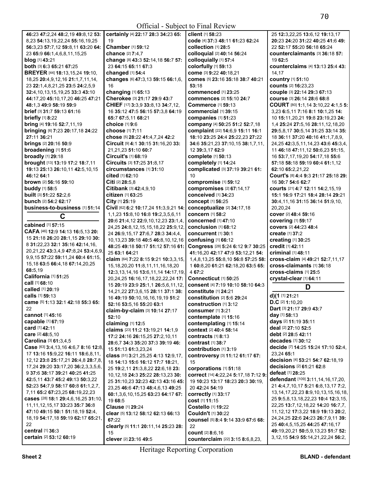| I<br>×<br>۰. |
|--------------|
|--------------|

|                                                     |                                             | $OH$ . Dubject to T $H$ and $H$ view |                                              |
|-----------------------------------------------------|---------------------------------------------|--------------------------------------|----------------------------------------------|
| 46:23 47:2.24 48:2.19 49:8.12 53:                   | certainly [4] 22:17 28:3 34:23 65:          | client [1] 58:23                     | 25 12:3,22,25 13:6,12 19:13,17               |
| 8,23 54:13,19,22,24 55:16,19,25                     | 19                                          | code [4] 37:3 48:11 61:23 62:24      | 20:23 24:20 31:22 40:25 41:6 49:             |
| 56:3,23 57:7,12 59:8,11 63:20 64:                   | Chamber [1] 59:12                           | collection [1] 28:5                  | 22 52:17 55:20 56:18 65:24                   |
|                                                     | chance [2] 7:4.7                            | colloquial [2] 40:14 56:24           | counterclaimants [3] 36:18 57:               |
| 23 65:9 66:1,4,6,8,11,15,25                         |                                             |                                      |                                              |
| blog [1] 43:21                                      | change [8] 43:3 52:14,18 56:7 57:           | colloquially [1] 57:4                | 19 62:5                                      |
| both [3] 6:3 65:21 67:25                            | 23 64:15 65:11 67:3                         | colorfully [1] 59:13                 | counterclaims [4] 13:13 25:4 43:             |
| <b>BREYER</b> [44] <b>18:13,15,24 <b>19:10</b>,</b> | changed [1] 54:4                            | come [3] 9:22 40:18,21               | 14,17                                        |
| 18,25 20:4,9,12,16 21:1,7,11,14,                    | changes [6] 47:3,13 59:15 66:1,6,           | comes [5] 23:16 35:18 38:7 40:21     | country [1] 51:10                            |
| 23 22:1,4,8,21,25 23:5 24:2,5,9                     | 16                                          | 53:18                                | counts [2] 16:23,23                          |
|                                                     | changing [1] 65:13                          | commenced [1] 23:25                  |                                              |
| 32:4, 10, 13, 15, 19, 25 33:3 43:10                 |                                             |                                      | couple [3] 22:14 29:3 67:13                  |
| 44:17,20 45:10,17,20 46:25 47:21                    | Cherokee [3] 21:17 29:9 43:7                | commences [2] 15:10 24:7             | course [3] 26:14 28:6 68:8                   |
| 48:1,3 49:9 58:19 59:9                              | CHIEF [17] 3:3,9 33:8,13 34:7,12,           | Commerce [1] 59:13                   | COURT [80] 1:1,14 3:10,22 4:1,5 5:           |
| brief [3] 31:7 59:13 61:16                          | 16 35:12 47:5 56:15 57:3.8 64:19            | commercial [1] 39:15                 | 3,23 6:5,11 7:16 8:1 10:1,25 14:             |
| <b>briefly</b> [1] 8:22                             | 65:7 67:5,11 68:21                          | companies [1] 51:23                  | 10 15:11,20,21 19:8 23:19,23 24:             |
|                                                     | choice [1] 9:6                              |                                      |                                              |
| bring [4] 19:16 52:7,11,19                          |                                             | company [4] 50:25 51:2 52:7,18       | 1,4 25:24 27:5,16 28:11,12,18,20             |
| bringing [6] 7:23 20:17,18 24:22                    | choose [1] 7:11                             | complaint [22] 14:6,9 15:11 16:1     | 29:5,8,17 30:5,14 31:25 33:14 35:            |
| 27:11 36:21                                         | chose [5] 28:22 41:4,7,24 42:2              | 18:10 23:25 24:4 25:22,23 27:22      | 18 36:11 37:20 40:16 41:1,7,8,9,             |
| <b>brings</b> [2] 20:16 50:9                        | Circuit [9] 4:1 30:15 31:16,20 33:          | 34:6 35:21,23 37:10,15 38:1,7,11,    | 24, 25 42: 3, 5, 11, 14, 23 43: 6 45: 3, 4,  |
| broadening [1] 51:6                                 | 21,21,23 51:10 60:7                         | 12 39:3,17 62:9                      | 11 46:18 47:11,12 50:6,23 51:15,             |
| broadly [1] 29:18                                   | Circuit's [1] 68:19                         | complete [1] 50:13                   |                                              |
|                                                     |                                             |                                      | 16 53:7,17,19,20 54:17,18 55:6               |
| brought [13] 13:19 17:2 18:7,11                     | Circuits [3] 17:25 31:8,17                  | completely [1] 14:24                 | 57:18 58:18 59:19 60:4 61:1,12               |
| 19:13 25:13 26:10,11 42:5,10,15                     | circumstances [1] 31:10                     | complicated [3] 37:19 39:21 61:      | 62:10 65:2,21,22                             |
| 46:12 64:1                                          | <b>cited</b> [1] 62:10                      | 10                                   | Court's [8] 4:4 9:3 21:17 25:18 29:          |
| <b>brown</b> [2] <b>56:16 59:10</b>                 | Citi $[2]$ 28:5,8                           | compromise [1] 59:12                 | 16 30:7 54:6 62:7                            |
| buddy [1] 58:5                                      | Citibank [3] 42:4,9,10                      | compromises [2] 67:14,17             | courts [21] 4:7 12:11 14:2,15,19             |
|                                                     |                                             |                                      |                                              |
| built [3] 51:22 52:2,6                              | citizen [1] 63:25                           | conceived [1] 34:23                  | 15:1 16:9 17:21 18:4 28:14 29:21             |
| bunch [2] 54:2 62:17                                | City [1] 25:19                              | concept [1] 56:25                    | 30:4,11,16 31:15 36:14 51:9,10,              |
| business-to-business [1] 51:14                      | Civil [62] 6:2 10:17,24 11:3,9,21 14:       | conceptualize [2] 34:17,18           | 20,20,24                                     |
|                                                     | 1,1,23 15:8,10 16:8 19:2,3,5,6,11           | concern [1] 58:2                     | cover [2] 48:4 59:16                         |
| C                                                   |                                             |                                      |                                              |
| cabined [1] 57:15                                   | 20:6 21:4,12 22:9,10,12,23 23:1,4,          | <b>concerned</b> [1] 47:10           | <b>covering</b> [1] 59:17                    |
|                                                     | 24, 25 24: 8, 12, 15, 15, 18, 22 25: 9, 12, | conclusion [1] 68:12                 | <b>covers</b> [2] 44:23 48:4                 |
| CAFA [46] 12:9 14:13 16:5,13 20:                    | 24 26:9,15,17 27:6,7 28:3 34:4,4,           | concurrent [1] 30:1                  | <b>create</b> [1] 37:2                       |
| 15 21:18 26:20 28:1,15 29:10 30:                    | 10, 13, 23 39: 18 40: 5 46: 8, 10, 12, 16   | confusing [1] 66:12                  | creating [1] 30:25                           |
| 8 31:22,23 32:1 35:16 42:14,16,                     | 48:25 49:18 50:17 51:12 57:16 61:           | Congress [28] 5:24 6:12 9:7 30:25    | credit [1] 42:11                             |
| 20, 21, 22 43: 3, 4, 9 47: 8, 24 53: 4, 6, 9,       | 25 63:1 64:21                               | 41:16,20 42:17 47:9 53:12,21 54:     | criminal [1] 48:11                           |
| 9,9,15 57:22 59:11,24 60:4 61:15,                   |                                             |                                      |                                              |
|                                                     | claim [64] 7:22 8:15 9:21 10:3,3,15,        | 1,4,8,13,25 55:8,10 56:8 57:25 58:   | cross-claim [4] 49:21 52:7,11,17             |
| 15, 18 63: 5 66: 4, 18 67: 14, 20, 25               | 15, 18, 20, 20 11: 8, 11, 11, 16, 18, 20    | 1 60:8.20 61:21 62:18.20 63:5 65:    | cross-claimants [1] 36:18                    |
| 68:5.19                                             | 12:3,13,14,16 13:6,11,14 14:17,19,          | 4 67:2                               | cross-claims [1] 25:5                        |
| California [1] 51:25                                | 20,24,25 16:16,17,18,22,22,24 17:           | Connecticut <sup>[1]</sup> 50:25     | crystal-clear [1] 64:11                      |
| call [1] 68:10                                      | 15 20:19 23:9 25:1,1 26:5,6,11,12,          | consent [4] 7:19 10:10 58:10 64:3    |                                              |
| called [1] 20:19                                    |                                             |                                      | D                                            |
| calls [1] 59:13                                     | 14, 21, 22 27: 3, 6, 15 28: 11 37: 1 38:    | constitute [1] 24:21                 | d)(1 [1] 21:21                               |
|                                                     | 16 49:19 50:10,16,16,19,19 51:2             | constitution [2] 5:6 29:24           |                                              |
| <b>came</b> [5] 1:13 32:1 42:18 55:3 65:            | 52:16 53:5,16 55:20 63:1                    | construction [1] 3:12                | <b>D.C</b> [2] <b>1:</b> 10,20               |
| 22                                                  | claim-by-claim [3] 10:14 27:17              | <b>consumer</b> [1] 3:21             | Dart [3] 21:17 29:9 43:7                     |
| cannot [1] 45:16                                    | 52:10                                       | contemplate [1] 15:16                | day [1] 58:13                                |
| capable [1] 67:19                                   |                                             |                                      | days [2] 11:19 35:11                         |
| <b>card</b> [1] 42:11                               | claiming [1] 12:5                           | contemplating [1] 15:14              | deal [2] 27:10 52:5                          |
|                                                     | claims [23] 11:2 13:19,21 14:1,9            | context [2] 40:4 58:14               |                                              |
| care [2] 48:5.10                                    | 17:2 24:16 26:15,25 27:2,10,11              | contracts $[1]$ 8:13                 | debt [2] 28:5 42:11                          |
| Carolina [3] 61:3,4,5                               | 28:6,7 34:3 35:20 37:3 39:19 46:            | contrast $[1]$ 38:7                  | <b>decades</b> [1] 30:12                     |
| Case [63] 3:4, 13, 16 4:6, 7 8:16 12:8,             | 15 51:13 61:3,23,24                         | contribution [1] 3:19                | decide [7] 14:25 15:24 17:10 52:4,           |
| 17 13:16 15:9,22 16:11 18:6,8,11,                   |                                             | controversy [3] 11:12 61:17 67:      | 23,24 65:1                                   |
| 12, 12 23:8 25:17, 21 26:4, 8 28:7, 8,              | class [51] 3:21, 25, 25 4:13 12:9, 17,      |                                      | decision [4] 53:21 54:7 62:18,19             |
| 17,24 29:20 33:17,20 36:2,3,3,5,6,                  | 18 14:13 15:6 16:12 17:7 18:21,             | 15                                   | decisions [2] 61:21 62:8                     |
|                                                     | 25 19:2,11 21:3,8,22 22:6,18 23:            | corporations [1] 51:18               |                                              |
| 9 37:6 38:17 39:21 40:25 41:25                      | 10,12,18 24:3 25:22 28:13,23 30:            | correct [14] 4:22,24 5:17,18 7:12 9: | defeat [1] 28:25                             |
| 42:5,11 43:7 45:2 49:13 50:3,22                     | 25 31:10,23 32:23 42:13 43:16 45:           | 19 10:23 13:17 18:23 20:3 30:19,     | defendant [109] 3:11, 14, 16, 17, 20,        |
| 52:23 54:7,9 58:17 60:8 61:1,2,7,                   | 23,25 46:6 47:13 48:4,6,13 49:25            | 20 42:24 54:19                       | 21 4:4,7,10,17 5:21 6:8,13,17 7:2,           |
| 7,11 65:2 67:23,25 68:19,22,23                      |                                             |                                      | 13, 14, 17, 22, 23 8: 9, 10, 13, 15, 16, 18, |
| cases [28] 18:1 29:4,6,16,25 31:10,                 | 60:1,3,6,10,15,25 63:23 64:17 67:           | <b>correctly</b> [1] 33:17           |                                              |
|                                                     | 19 68:5                                     | cost [1] 11:15                       | 25 9:5,8,13,18,22,23 10:4 12:3,15,           |
| 11, 11, 12, 15, 17 33: 23 35: 7 36: 8               | Clause [1] 29:24                            | Costello [1] 19:22                   | 22,25 13:7,12,18,22 14:20 16:7,7,            |
| 47:10 49:15 50:1 51:18,19 52:4,                     | clear [5] 13:12 58:12 62:13 66:13           | Couldn't [1] 30:22                   | 11, 12, 12 17: 3, 22 18: 9 19: 13 20: 2,     |
| 18,19 54:17,18 59:19 62:17 65:21,                   | 67:22                                       | counsel [5] 8:4 9:14 33:9 67:6 68:   | 24, 24, 25 22: 6 24: 23 26: 7, 9, 11 39:     |
| 22                                                  |                                             |                                      | 25 40:4,5,15,25 44:25 47:16,17               |
| central [1] 36:3                                    | clearly [5] 11:1 20:11, 14 25:23 28:        | 22                                   | 49:19,20,21 50:5,9,13,23 51:7 52:            |
|                                                     | 15                                          | <b>count</b> [2] 8:6,16              |                                              |
| certain [2] 53:12 60:19                             | clever [2] 23:16 49:5                       | counterclaim [22] 3:15 8:6,8,23,     | 3, 12, 15 54: 9 55: 14, 21, 22, 24 56: 2,    |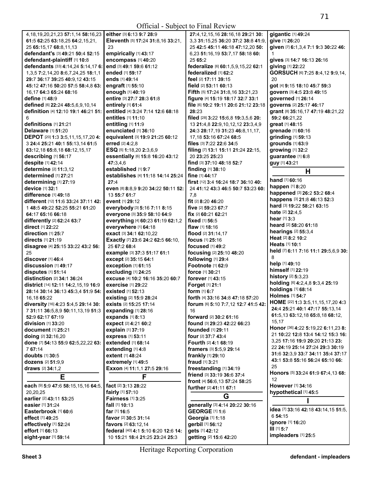| 4, 18, 19, 20, 21, 23 57: 1, 14 58: 16, 23      | either [3] 6:13 9:7 28:9                                              | 27:4, 12, 15, 16 28: 16, 18 29: 21 30:                            | gigantic [1] 49:24                                                      |
|-------------------------------------------------|-----------------------------------------------------------------------|-------------------------------------------------------------------|-------------------------------------------------------------------------|
| 61:5 62:25 63:18,25 64:2,15,21,                 | Eleventh [5] 17:24 31:8,16 33:21,                                     | 3.3 31:15.25 36:20 37:2 38:8 41:9.                                | give [1] 26:20                                                          |
| 25 65:15,17 68:8,11,13                          | 23                                                                    | 25 42:5 45:11 46:18 47:12,20 50:                                  | given [7] 6:1,3,4 7:1 9:3 30:22 46:                                     |
| defendant's [3] 49:21 50:4 52:15                | empirically [1] 43:17                                                 | 6,23 51:16,19 53:7,17 58:18 60:                                   |                                                                         |
| defendant-plaintiff [1] 10:8                    | encompass [1] 40:20                                                   | 25 65:2                                                           | gives [3] 14:7 16:13 26:16                                              |
|                                                 |                                                                       |                                                                   |                                                                         |
| defendants [33] 4:14,24 5:14,17 6:              | end [3] 49:1 59:6 61:12                                               | federalize [6] 60:1,5,9,15,22 62:1                                | giving [1] 22:22                                                        |
| 1,3,5 7:2,14,20 8:6,7,24,25 18:1,1              | ended [1] 59:17                                                       | federalized [1] 62:2                                              | GORSUCH [6] 7:25 8:4,12 9:9,14,                                         |
| 29:7 36:17 39:25 40:9,12 43:15                  | ends [1] 49:14                                                        | feel [2] 17:11 39:15                                              | 20                                                                      |
| 45:12 47:16 50:20 57:5 58:4,8 63:               | engraft [1] 55:10                                                     | field $[2]$ 53:11 60:13                                           | got [4] 9:15 18:10 45:7 59:3                                            |
| 16,17 64:3 65:24 68:16                          | enough [1] 40:19                                                      | Fifth [5] 17:24 31:8,16 33:21,23                                  | govern [3] 4:5 23:8 49:15                                               |
| define [1] 48:9                                 | entire [3] 27:7 28:3 61:8                                             | figure [4] 15:19 18:17 32:7 33:1                                  | governed [1] 26:14                                                      |
|                                                 |                                                                       | file [6] 10:2 19:11 20:6 21:12 23:18                              |                                                                         |
| defined [6] 22:24 48:5,6,9,10,14                | entirely [1] 61:4                                                     |                                                                   | governs [2] 25:17 46:17                                                 |
| definition [4] 12:10 19:1 46:21 51:             | entitled [4] 3:24 7:14 12:6 68:18                                     | 28:23                                                             | grant [8] 35:16,17 47:19 48:21,22                                       |
| 6                                               | <b>entitles</b> [1] 11:10                                             | filed [28] 3:22 15:6,8 19:3,5,6 20:                               | 59:2 66:21,22                                                           |
| definitions [1] 21:21                           | entitling [1] 11:9                                                    | 13 21:4,8 22:9,10,12,12 23:3,4,9                                  | great [1] 48:15                                                         |
| <b>Delaware</b> [1] <b>51:20</b>                | enunciated [1] 36:10                                                  | 24:3 28:17,19 31:23 46:8,11,17,                                   | grenade [1] 60:16                                                       |
| <b>DEPOT</b> [20] <b>1:3 3:5,11,15,17,20 4:</b> | equivalent [3] 19:9 21:25 60:12                                       | 17,18 53:16 67:24 68:5                                            | grinding [1] 59:13                                                      |
| 3 24:4 25:21 40:1 55:13,14 61:5                 | erred [2] 4:2.8                                                       | files [3] 7:22 22:6 34:5                                          | grounds [1] 63:9                                                        |
|                                                 |                                                                       |                                                                   |                                                                         |
| 63:12,18 65:8,18 68:12,15,17                    | ESQ [5] 1:18,20 2:3,6,9                                               | filing [7] 13:1 15:11 21:24 22:15,                                | growing [1] 32:2                                                        |
| describing [1] 56:17                            | essentially [6] 15:8 16:20 43:12                                      | 20 23:25 25:23                                                    | guarantee [1] 6:8                                                       |
| despite [1] 42:14                               | 47:3,4,6                                                              | find [3] 37:10 48:18 52:7                                         | guy [1] 43:21                                                           |
| determine [2] 11:3,12                           | established [1] 9:7                                                   | finding [1] 38:10                                                 | Н                                                                       |
| determined [1] 27:21                            | establishes [4] 11:18 14:14 25:24                                     | fine [1] 44:17                                                    |                                                                         |
| determining [1] 27:19                           | 27:4                                                                  | first [12] 3:4 16:24 18:7 36:10 40:                               | hand [1] 60:16                                                          |
|                                                 |                                                                       |                                                                   | happen [1] 8:20                                                         |
| device [1] 32:1                                 | even [8] 8:8,9 9:20 34:22 50:11 52:                                   | 24 41:12 43:3 46:5 50:7 53:23 60:                                 | happened [3] 26:2 53:2 68:4                                             |
| <b>difference</b> [1] 49:18                     | 13 55:7 61:7                                                          | 7,8                                                               |                                                                         |
| different [12] 11:6 33:24 37:11 42:             | event [1] 29:12                                                       | fit [2] 8:20 46:20                                                | happens [3] 21:8 46:13 52:3                                             |
| 1 48:5 49:22 52:25 55:21 61:20                  | everybody [3] 5:16 7:11 8:15                                          | five [2] 59:23 67:7                                               | hard [3] 19:22 58:21 63:15                                              |
| 64:17 65:16 66:18                               | everyone [3] 35:9 58:10 64:9                                          | fix [2] 60:21 62:21                                               | <b>hate</b> $[2]$ 32:4,5                                                |
| <b>differently</b> [2] 62:24 63:7               | everything [4] 60:23 61:19 62:1,2                                     | fixed [1] 56:5                                                    | <b>hear</b> $[1]$ 3:3                                                   |
| direct [1] 22:22                                | everywhere [1] 64:18                                                  | <b>flaw</b> $[1]$ <b>18:16</b>                                    | heard [2] 58:20 61:18                                                   |
|                                                 |                                                                       |                                                                   | hearings $[2]$ 55:3,4                                                   |
| direction [1] 25:7                              | exact [3] 34:1 62:10,22                                               | flood [2] 31:14,17                                                | Heat [2] 8:2 10:2                                                       |
| directs $[1]$ 21:19                             | Exactly [7] 23:6 24:2 62:5 66:10,                                     | <b>focus</b> $[1]$ 25:16                                          |                                                                         |
| disagree [4] 25:15 33:22 43:2 56:               | 25 67:2 68:4                                                          | focused $[1]$ 49:2                                                | Heats [1] 10:1                                                          |
| 25                                              | example [3] 37:3 51:17 61:1                                           | focusing [2] 25:10 48:20                                          | held [7] 6:11 7:16 11:1 29:5,6,9 30:                                    |
|                                                 |                                                                       |                                                                   |                                                                         |
|                                                 |                                                                       |                                                                   | 8                                                                       |
| discover [1] 46:4                               | except [2] 35:15 64:1                                                 | following [1] 29:4                                                |                                                                         |
| discussion [1] 49:17                            | exception [1] 61:15                                                   | Footnote [1] 62:9                                                 | help [1] 49:10                                                          |
| disputes [1] 51:14                              | excluding [1] 24:25                                                   | <b>force</b> [1] 30:21                                            | himself [1] 22:19                                                       |
| distinction [2] 34:1 36:24                      | excuse [4] 10:2 16:16 35:20 60:7                                      | forever [1] 43:15                                                 | <b>history</b> [2] 5:3,23                                               |
| district [14] 12:11 14:2,15,19 16:9             | <b>exercise</b> [1] 29:22                                             | Forget [1] 21:1                                                   | holding [6] 4:2,4,8 9:3,4 25:19                                         |
| 28:14 30:14 36:13 45:3,4 51:9 54:               | <b>existed</b> [1] <b>52:13</b>                                       | form $[1]$ 6:7                                                    | holdings [1] 68:14                                                      |
| 16,18 65:22                                     |                                                                       | <b>forth</b> [4] 33:16 34:8 47:18 57:20                           | <b>Holmes</b> [1] 54:7                                                  |
|                                                 | existing [2] 15:9 28:24                                               |                                                                   | HOME [22] 1:3 3:5,11,15,17,20 4:3                                       |
| diversity [16] 4:23 5:4,5 29:14 30:             | <b>exists</b> [2] <b>15:25 17:14</b>                                  | <b>forum</b> [6] <b>5</b> :10 <b>7</b> :7,12 <b>12:7 41:5 42:</b> | 24:4 25:21 40:1 47:17 55:13,14                                          |
| 7 31:11 36:5,8,9 50:11,13,19 51:3               | expanding [1] 28:16                                                   | 16                                                                |                                                                         |
| 52:9 62:17 67:19                                | expands [1] 8:13                                                      | forward [2] 30:2 61:16                                            | 61:5, 13 63:12, 18 65:8, 18 68:12,                                      |
| division [1] 33:20                              | expect [2] 4:21 60:2                                                  | found [3] 29:23 42:22 66:23                                       | 15, 17                                                                  |
| document [1] 25:21                              | explain [1] 37:19                                                     | founded [1] 29:11                                                 | Honor [36] 4:22 5:19,22 6:11,23 8:                                      |
| <b>doing</b> [2] 32:16,20                       | express [1] 53:11                                                     | four [2] 37:7 43:4                                                | 21 10:22 12:8 13:4 14:12 15:3 16:                                       |
|                                                 | <b>extended</b> [1] 68:14                                             | Fourth [2] 4:1 68:19                                              | 3,25 17:16 19:9 20:20 21:13 23:                                         |
| done [7] 54:13 55:9 62:5,22,22 63:<br>7 67:14   |                                                                       |                                                                   | 22 <b>24:</b> 19 <b>25:</b> 14 <b>27:</b> 24 <b>29:</b> 3 <b>30:</b> 19 |
|                                                 | extending [1] 4:8                                                     | framers [3] 5:5,9 29:14                                           | 31:6 32:3,9 33:7 34:11 35:4 37:17                                       |
| doubts [1] 30:5                                 | extent [1] 48:24                                                      | frankly [1] 29:10                                                 |                                                                         |
| dozens [2] 51:9.9                               | extremely [1] 49:5                                                    | fraud [1] 3:21                                                    | 43:1 53:8 55:16 56:24 65:10 66:                                         |
| draws $[2] 34:1,2$                              | Exxon [4] 11:1,1 27:5 29:16                                           | freestanding [1] 34:19                                            | 25                                                                      |
|                                                 | F                                                                     | friend [3] 33:19 36:6 37:4                                        | Honors [5] 33:24 61:9 67:4,13 68:                                       |
| Е                                               |                                                                       | front [4] 56:6,13 57:24 58:25                                     | 12                                                                      |
| each [9] 5:9 47:6 58:15,15,16 64:5,             | fact [2] 3:13 28:22                                                   | further [2] 41:11 67:1                                            | However [1] 34:16                                                       |
| 20,20,25                                        | fairly [1] 57:10                                                      |                                                                   | hypothetical [1] 45:5                                                   |
| earlier [2] 43:11 53:25                         | Fairness [1] 3:25                                                     | G                                                                 |                                                                         |
| easier [1] 31:24                                | fall [1] 10:13                                                        | generally [3] 4:14 20:22 30:16                                    |                                                                         |
| Easterbrook [1] 60:6                            |                                                                       |                                                                   | idea [7] 33:16 42:18 43:14,15 51:5,                                     |
|                                                 | far [1] $16:5$                                                        | <b>GEORGE [1] 1:6</b>                                             | 6 54:15                                                                 |
| effect [1] 49:25                                | favor [2] 30:5 31:14                                                  | Georgia [1] 1:18                                                  | ignore [1] 16:20                                                        |
| effectively [1] 52:24                           | favors [2] 63:12.14                                                   | gerbil [1] 56:12                                                  |                                                                         |
| effort [1] 66:13<br>eight-year [1] 59:14        | federal [40] 4:1 5:10 6:20 12:6 14:<br>10 15:21 18:4 21:25 23:24 25:3 | gets [1] 42:12<br>getting [2] 15:6 42:20                          | $III$ [1] $5:7$<br>impleaders [1] 25:5                                  |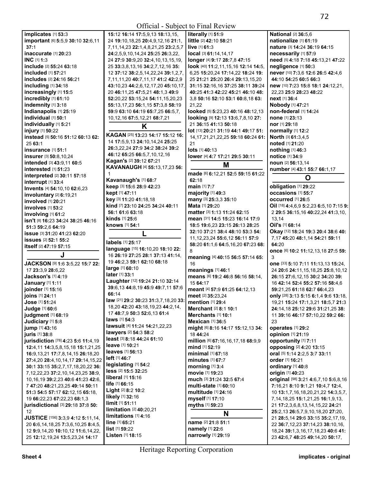| implicates [1] 53:3                        | 15:12 16:14 17:5,9,13 18:13,15,                       | literally [1] 51:9                       | <b>National [2] 36:5,6</b>                |
|--------------------------------------------|-------------------------------------------------------|------------------------------------------|-------------------------------------------|
| important [6] 5:5,9 30:10 32:6,11          | 24 19:10, 18, 25 20:4, 9, 12, 16 21:1,                | little [2] 42:10 58:21                   | nationalize [1] 61:19                     |
| 37:1                                       | 7, 11, 14, 23 22: 1, 4, 8, 21, 25 23: 2, 5, 7         | live $[1]$ 61:3                          | nature [3] 14:24 36:19 64:15              |
| inaccurate [1] 20:23                       | 24:2,5,9,10,14,24 25:25 26:3,22,                      | local [3] 61:14,14,17                    | necessarily [1] 57:9                      |
| <b>INC</b> $[1]$ 1:3                       | 24 27:9 30:9,20 32:4,10,13,15,19,                     | longer [4] 9:17 28:7,8 47:15             | need [5] 4:18 7:18 45:13,21 47:22         |
| <b>include</b> [2] <b>55:24 63:18</b>      | 25 33:3,8,13,16 34:2,7,12,16 35:                      | look [40] 11:2,11,15,16 12:14 14:5,      | negligence [1] 50:3                       |
| <b>included</b> [1] <b>57:21</b>           | 12 37:12 38:2,5,14,22,24 39:1,2,7,                    | 6,25 15:20,24 17:14,22 18:24 19:         | never [10] 7:3,6 12:6 26:5 42:4,6         |
| includes [2] 24:16 56:21                   | 7, 11, 11, 20 40: 7, 11, 17 41: 2 42: 2, 9            | 25 21:21 25:20 26:4 29:13,15,20          | 44:10 54:25 60:5 66:3                     |
| including [1] 34:18                        | 43:10,23 44:2,6,12,17,20 45:10,17,                    | 31:15 32:16,16 37:25 38:11 39:24         | new [10] 7:23 15:8 18:1 24:12,21,         |
| increasingly [1] 15:5                      | 20 46:11,25 47:5,21 48:1,3 49:9                       | 40:25 41:3 42:22 45:21 46:10 48:         | 22,23 25:9 28:23 48:22                    |
| incredibly [1] 61:10                       | 52:20,22 53:15,24 54:11,15,20,23                      | 3,8 50:16 52:10 53:1 60:8,18 63:         | next [1] 36:4                             |
| indemnity [1] 3:18                         | 55:13,17,23 56:1,15 57:3,8 58:19                      | 21,22                                    | <b>Nobody</b> [1] 47:21                   |
| Indianapolis [1] 25:19                     | 59:9 63:10 64:19 65:7,25 66:5,7,                      | looked [5] 5:23,23 40:16 48:12,13        | non-federal [1] 14:24                     |
| individual [1] 50:1                        | 10, 12, 16 67: 5, 12, 21 68: 7, 21                    | looking [9] 12:13 13:6,7,8,10 27:        | none [1] 23:13                            |
| individually [1] 5:21                      |                                                       | 21 36:15 41:13 50:18                     | nor [1] 29:18                             |
| injury [1] 50:22                           | K                                                     | lot [13] 20:21 31:19 44:1 49:17 51:      | normally [1] 12:2                         |
| instead [5] 50:16 51:12 60:13 62:          | KAGAN [25] 13:23 14:17 15:12 16:                      | 14, 17, 21, 21, 22, 25 59: 18 60: 24 61: | North [3] 61:3,4,5                        |
| 2563:1                                     | 14 17:5,9,13 24:10,14,24 25:25                        | 21                                       | noted [1] 21:20                           |
| insurance [1] 51:1                         | 26:3,22,24 27:9 34:2 38:24 39:2                       | lots [1] 40:13                           | nothing [1] 46:3                          |
| insurer [3] 50:8,10,24                     | 46:12 65:25 66:5.7.10.12.16                           | lower [4] 4:7 17:21 29:5 30:11           | notice [1] 34:9                           |
| intended [3] 43:9,11 60:5                  | Kagan's [2] 39:12 67:21                               |                                          | noun [2] 56:13,14                         |
| interested $[1]$ 51:23                     | KAVANAUGH [4] 55:13,17,23 56:                         | M                                        |                                           |
|                                            |                                                       | made [6] 6:12,21 52:5 59:15 61:22        | number [4] 43:1 55:7 66:1,17              |
| interpreted [2] 30:11 57:18                | Kavanaugh's [1] 68:7                                  | 62:18                                    | O                                         |
| interrupt [1] 33:4                         | keep [3] 15:6 28:9 42:23                              | main [1] 7:7                             | obligation [1] 29:22                      |
| Invents [4] 54:10,10 62:6,23               | kept [1] 47:11                                        | majority [1] 49:3                        | occasions [1] 55:7                        |
| involuntary [2] 6:19,21                    | key [3] 11:20 41:18,18                                | many [3] 25:3,3 35:10                    | occurred [1] 26:5                         |
| involved [1] 20:21                         | kind [7] 23:10 24:25 34:24 40:11                      | <b>Mata</b> [1] 29:20                    | Oil [18] 4:4,6,9 5:2,23 6:5,10 7:15 9:    |
| involves [1] 53:2                          | 56:1 61:6 63:18                                       | matter [3] 1:13 11:24 62:15              | 2 29:5 36:15,16 40:22,24 41:3,10,         |
| involving [1] 61:2                         | kinds [1] 25:6                                        | mean [31] 14:5 15:23 16:14 17:9          | 13,14                                     |
| isn't [8] 16:23 34:24 38:25 46:16          | knows [1] 54:1                                        | 18:5 19:6,23 23:15 26:13 28:25           | Oil's [1] 68:14                           |
| 51:3 59:2,6 64:19                          |                                                       | 32:10 37:21 38:4 48:10 53:3 54:          | Okay [12] 18:24 19:3 20:4 38:6 40:        |
| issue [3] 31:20 41:23 62:20                | L                                                     | 11, 12, 23, 24 55: 6, 12 56: 11 57: 9    | 7,17 45:20 48:1,14 54:21 59:11            |
| <b>issues</b> [2] 52:1 55:2                | labels [1] 25:17                                      |                                          | 64:20                                     |
| itself [2] 47:19 57:15                     | language [15] 16:10,20 18:10 22:                      | 58:20 61:1,6 64:5,16,20 67:23 68:<br>8   |                                           |
| J                                          | 16 26:19 27:25 28:1 37:13 41:14,                      |                                          | once [6] 10:2 11:12,13,18 27:5 59:<br>3   |
|                                            | 19 46:2,3 59:1 62:10 68:18                            | meaning [4] 40:15 56:5 57:14 65:         |                                           |
| JACKSON [9] 1:6 3:5,22 15:7 22:            | large [1] 60:10                                       | 16                                       | one [33] 5:10 7:11 11:13,13 15:24,        |
| 17 23:3,9 28:6,22                          | later [1] 33:1                                        | meanings [1] 46:1                        | 24 20:6 24:11, 15, 18, 25 25:8, 10, 12    |
| Jackson's [1] 4:19                         | Laughter [12] 19:24 21:10 32:14                       | means [6] 19:2 46:8 56:16 58:14,         | 26:15 27:6,12,15 30:2 34:20 39:           |
| January [1] 1:11                           | 39:6,13 44:8,19 45:9 49:7,11 57:6                     | 15 64:17                                 | 16 42:14 52:4 55:2 57:16 58:4,6           |
| joinder [1] 15:16                          | 66:14                                                 | meant [4] 57:9 61:25 64:12,13            | 59:21,25 61:18 62:7 66:4,23               |
| joins [1] 24:11                            | law [21] 29:2 30:23 31:3,7,18,20 33: mention [1] 29:4 | meet [2] 35:23,24                        | only [28] 3:13 5:15 6:1,4 9:6 13:18,      |
| Jose [1] 51:24                             | 18,20 42:20 43:18,19,23 44:2,14,                      |                                          | 19,21 15:24 17:1,3,21 18:5,7 21:3         |
| Judge [1] 60:6                             | 17 48:7,9 50:3 52:6,13 61:4                           | Merchant [2] 8:1 10:1                    | 24:14,18 25:12 29:6 31:21,25 38:          |
| judgment [1] 68:19                         | <b>laws</b> [1] 54:3                                  | Merchants [1] 10:1                       | 11 39:16 46:17 57:10,22 59:2 66:          |
| Judiciary [1] 5:8                          | lawsuit [4] 11:24 14:21,22,23                         | Mexican $[1]$ 36:5                       | 23                                        |
| jump [1] 43:16                             | lawyers [2] 54:3 58:2                                 | might [6] 8:16 14:17 15:12,13 34:        | <b>operates</b> [1] 29:2                  |
| juris [1] 38:8                             | least [3] 8:18 44:24 61:10                            | 18 44:24                                 | opinion [1] 21:19                         |
| jurisdiction [78] 4:23 5:6 11:4,19         |                                                       | million [6] 67:16,16,17,18 68:9,9        | <b>opportunity</b> [1] 7:11               |
| 12:4,11 14:3,5,8,15,18 15:1,21,25          | <b>leave</b> [1] <b>10:21</b>                         | mind [1] 52:19                           | opposing [2] 4:20 13:15                   |
| 16:9,13,21 17:7,8,14,15 26:18,20           | <b>leaves</b> [1] 56:13                               | minimal [1] 67:18                        | oral [5] 1:14 2:2,5 3:7 33:11             |
| 27:4,20 28:4,10,14,17 29:14,15,22          | left [1] 46:7                                         | minutes [1] 67:7                         | order [1] 16:21                           |
| 30:1 33:15 35:2,7,17,18,20,22 36:          | legislating [1] 54:2                                  | morning $[1]$ 3:4                        | ordinary [1] 40:8                         |
| 7, 12, 22, 23 37: 2, 10, 14, 23, 25 38: 9, | less [2] 15:5 32:25                                   | movie [1] 19:23                          | origin [1] 40:23                          |
| 10, 16, 19 39: 2, 23 40: 6 41: 23 42: 6,   | <b>liberal</b> [1] <b>15:16</b>                       | much [3] 31:24 32:5 67:4                 | original [98] 3:21 4:6,7,10 5:6,8,16      |
| 7 47:20 48:21,23,25 49:14 50:11            | life [1] 66:15                                        | multi-state [1] 60:10                    | 7:16,21 8:10 9:1,21 10:4,7 12:4,          |
| 51:3 54:5 57:17 62:12,15 65:18,            | Light [2] 8:2 10:2                                    | <b>multitude</b> [1] 24:16               | 10 13:1,7,16,18,20,21,22 14:3,5,7,        |
| 19 66:22,23 67:22,23 68:1,3                | likely [1] 32:16                                      | myself [1] 17:10                         | 7, 14, 18, 25 15: 1, 21, 25 16: 1, 9, 13, |
| jurisdictional [3] 29:18 37:8 50:          |                                                       |                                          |                                           |
|                                            | limit [1] 51:11                                       | myths [1] 59:23                          | 21 17:2,3,6,8,13,14,15,22 24:21           |
| 12                                         | limitation [2] 40:20,21                               |                                          | 25:2,13 26:5,7,9,10,18,20 27:20,          |
| JUSTICE [156] 3:3,9 4:12 5:11,14,          | limitations [1] 4:16                                  | N                                        | 21 28:5,14 29:6 33:15 35:2,17,19,         |
| 20 6:6, 14, 18, 25 7:3, 6, 10, 25 8:4, 5,  | line [1] 65:21                                        | name [2] 21:8 51:1                       | 22 36:7,12,23 37:14,23 38:10,16,          |
| 12 9:9,14,20 10:10,12 11:6,14,22,          | list [1] 59:22<br>Listen [1] 18:15                    | namely [1] 22:6<br>narrowly [1] 29:19    | 18,24 39:1,3,16,17,18,23 40:6 41:         |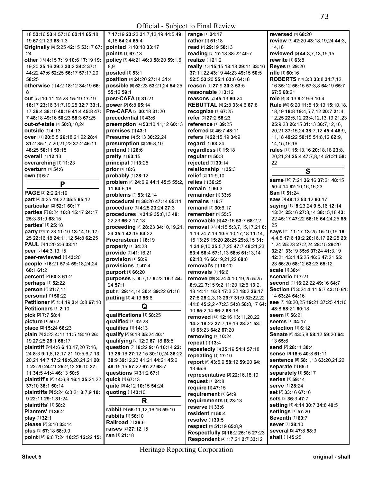| 18 52:16 53:4 57:16 62:11 65:18.               | 7 17:19 23:23 31:7,13,19 44:5 49:   | range [1] 24:17                           | reversed [1] 68:20                    |
|------------------------------------------------|-------------------------------------|-------------------------------------------|---------------------------------------|
|                                                |                                     | rather [1] 51:18                          |                                       |
| 19 67:21,23 68:1,3                             | 4,16 64:24 65:4                     |                                           | review [7] 42:20 43:18,19,24 44:3,    |
| Originally [4] 5:25 42:15 53:17 67:            | pointed [2] 10:10 33:17             | read [2] 29:19 58:13                      | 14,18                                 |
| 24                                             | points [1] 67:13                    | reading [3] 17:18 38:22 40:7              | reviewed [5] 44:3,7,13,15,15          |
| other [18] 4:15 7:19 10:6 17:19 19:            | policy [7] 44:21 46:3 58:20 59:1,6, | realize [1] 21:2                          | rewrite [1] 63:8                      |
| 19,20 25:16 29:3 30:2 34:2 37:1                | 8,9                                 | really [15] 15:15 18:18 29:11 33:16       | Reyes [1] 29:20                       |
| 44:22 47:6 52:25 56:17 57:17,20                | <b>posited</b> [1] 53:1             | 37:11,22 43:19 44:23 49:15 50:5           | rifle [1] 60:16                       |
| 58:25                                          | position [3] 24:20 27:14 31:4       | 52:5 53:20 55:1 63:6 64:18                | ROBERTS [13] 3:3 33:8 34:7,12,        |
| otherwise [4] 4:2 18:12 34:19 66:              | possible [6] 52:23 53:21,24 54:25   | reason [3] 27:9 30:3 53:5                 | 16 35:12 56:15 57:3,8 64:19 65:7      |
| 8                                              | 55:12 59:1                          | reasonable [1] 3:12                       | 67:5 68:21                            |
| <b>out</b> [23] <b>10:11 12:23 15:19 17:19</b> | post-CAFA [1] 31:21                 | reasons [2] 45:13 60:24                   | role [4] 3:13 8:2 9:6 10:4            |
|                                                |                                     |                                           |                                       |
| 18:17 23:16 31:7,19,25 32:7 33:1,              | power [2] 6:8 65:14                 | <b>REBUTTAL [4] 2:8 33:4,6 67:8</b>       | Rule [50] 6:20 11:5 13:13 15:10,18,   |
| 17 36:4 38:10 40:19 41:4 45:8 47:              | Pre-CAFA [2] 30:18 31:20            | recognize [1] 67:25                       | 18,19 18:8 19:4,5,7,12 20:7 21:4,     |
| 7 48:18 49:16 50:23 58:3 67:25                 | precedential [1] 43:6               | refer [2] 27:2 58:23                      | 12,25 22:5,12 23:4,12,13,19,21,23     |
| out-of-state [3] 50:8,10,24                    | preemption [4] 53:10,11,12 60:13    | reference [1] 39:25                       | 25:9,23 26:15 31:13 36:7,12,16,       |
| outside [1] 4:13                               | premises [1] 43:1                   | referred [2] 46:7 48:11                   | 20,21 37:15,24 38:7,12 45:4 46:9,     |
| over [17] 20:5,5 26:18,21,22 28:4              | Presume [3] 5:13 30:22,24           | refers [3] 22:15,19 34:9                  | 11, 18 49: 22 50: 15 51: 8, 12 62: 9, |
| 31:2 35:1,7,20,21,22 37:2 46:11                | presumption [2] 29:8,10             | regard [1] 63:24                          | 14, 15, 16, 16                        |
| 48:25 50:11 59:15                              | pretend [1] 26:6                    | regardless [1] 15:18                      | rules [14] 15:13,16 20:18,18 23:8,    |
| <b>overall</b> [1] 12:13                       | pretty [1] 63:15                    | regular [1] 50:3                          | 20,21,24 25:4 47:7,8,14 51:21 58:     |
|                                                |                                     |                                           |                                       |
| overarching [1] 11:23                          | principal [1] 13:25                 | rejected [1] 30:14                        | 22                                    |
| overturn [1] 54:6                              | prior [1] 18:6                      | relationship [1] 35:3                     | S                                     |
| own [1] 6:7                                    | probably [1] 28:12                  | relief [2] 11:9,10                        |                                       |
| P                                              | problem [8] 24:6,9 44:1 45:5 55:2,  | relies [1] 36:25                          | same [10] 7:21 36:16 37:21 48:15      |
|                                                | 11 64:6,18                          | remain [1] 60:3                           | 50:4,14 62:10,16,16,23                |
| PAGE [2] 2:2 21:19                             | problems [2] 53:12,14               | remainder [1] 33:6                        | San [1] 51:24                         |
| part [4] 4:25 19:22 35:5 65:12                 | procedural [3] 36:20 47:14 65:11    | remains [1] 6:7                           | saw [3] 48:13 53:12 60:17             |
| particular [2] 52:1 60:17                      | procedure [3] 4:25 23:24 27:3       | remand [2] 30:6,17                        | saying [18] 8:23,24 9:5,16 12:14      |
| parties [7] 8:24 10:8 15:17 24:17              | procedures [8] 34:9 35:8,13 48:     | remember [1] 55:5                         | 13:24 25:16 27:8,14 38:15,18 43:      |
| 25:3 31:9 68:15                                | 22,23 66:2,17,18                    | removable [4] 42:16 53:7 68:2,2           | 22 45:17 47:22 58:16 64:24,25 65:     |
| parties' [1] 25:18                             |                                     |                                           | 25                                    |
| party [11] 7:23 11:10 13:14,15 17:             | proceeding [8] 28:23 34:10,19,21,   | removal [43] 4:15 5:3,7,15,17,21 6:       | says [35] 11:17 13:25 15:10,19 16:    |
|                                                | 24 35:1 42:19 64:22                 | 1, 19, 24 7: 19 10: 9, 10, 17, 18 11: 14, |                                       |
| 25 22:16,18 24:11,12 54:8 62:25                | Procrustean [1] 8:19                | 15 13:25 15:20 28:25 29:8,15 31:          | 4,4,5 17:6 19:2 20:16,17 22:25 23:    |
| PAUL [3] 1:20 2:6 33:11                        | properly [1] 34:23                  | 1 34:9,10 35:5,7,25 47:7 48:21,23         | 1,24 25:23 27:2,24 28:15 29:20        |
| peer [3] 44:3,13,15                            | provide [2] 41:16,21                | 53:4 56:4 57:1,13 58:6 61:13,14           | 32:21 33:19 35:6 37:24 41:3,19        |
| peer-reviewed [1] 43:20                        | provision [1] 58:9                  | 62:13,16 66:19,21,22 68:6                 | 42:21 43:4 45:25 46:6 47:21 55:       |
| people [7] 6:21 57:4 59:18,24,24               | provisions [1] 47:4                 | removal's [1] 10:20                       | 23 56:20 58:12 63:23 65:12            |
| 60:1 61:2                                      | purport [1] 66:20                   | removals [1] 16:6                         | scale [1] 30:4                        |
| percent [2] 60:3 61:2                          | purposes [6] 8:7,17 9:23 19:1 44:   | remove [39] 3:24 4:10,19,25 5:25          | <b>scenario</b> [1] 7:21              |
| perhaps [1] 52:22                              |                                     |                                           | second [4] 16:22,22 49:16 64:7        |
| person [2] 21:7,11                             | 24 57:1                             | 6:9,22 7:15 9:2 11:20 12:6 13:2,          | Section [7] 3:24 4:11 5:7 43:10 61:   |
| personal [1] 50:22                             | put [5] 29:14,14 30:4 39:22 61:16   | 18 14:11 16:8 17:3,22 18:2 26:17          | 14 63:24 64:16                        |
|                                                | putting [2] 4:13 56:6               | 27:8 28:2,3,13 29:7 31:9 32:22,22         |                                       |
| Petitioner [5] 1:4,19 2:4 3:8 67:10            | Q                                   | 41:8 45:2,2 47:23 54:8 58:8,17 64:        | See [8] 18:20,25 19:21 37:25 41:10    |
| Petitioners [1] 2:10                           |                                     | 10 65:2,14 66:2 68:18                     | 48:8 58:21 60:18                      |
| pick [2] 7:7 58:4                              | qualifications [1] 58:25            | removed [14] 12:16 13:11,20,22            | seem [1] 56:21                        |
| picture [1] 50:2                               | qualified [1] 32:23                 | 14:2 18:22 27:7,18,19 28:21 53:           | <b>seems</b> [1] 34:17                |
| place [2] 15:24 66:23                          | qualifies [1] 14:13                 | 18 63:23 64:2 67:20                       | selection [1] 6:12                    |
| plain [8] 3:23 4:11 11:5 18:10 26:             | qualify [3] 9:18 35:24 40:1         | removing [1] 10:24                        | Senate [6] 43:5,8 58:12 59:20 64:     |
| 19 27:25 28:1 68:17                            | qualifying [3] 12:9 67:18 68:5      | repeat [1] 13:4                           | 13 65:6                               |
| plaintiff [34] 4:6 6:13,17,20 7:16,            | question [21] 8:22 9:16 16:14 22:   |                                           | send [2] 28:11 30:4                   |
| 24 8:3 9:1,8,12,17,21 10:5,6,7 13:             | 13 26:16 27:12,15 30:10,24 36:22    | repeatedly [3] 35:19 54:4 57:18           | sense [3] 18:5 40:8 61:11             |
| 20,21 14:7 17:2 19:6,20,21,21 20:              | 38:9 39:12.23 41:21 44:21 45:6      | repeating [1] 17:10                       | sentence [5] 58:1,13 63:20,21,22      |
|                                                |                                     | report [6] 43:5,9 58:12 59:20 64:         |                                       |
| 1 22:20 24:21 25:2,13 26:10 27:                | 48:15,15 57:22 67:22 68:7           | 13 65:6                                   | separate [1] 65:1                     |
| 11 34:5 41:4 46:13 50:5                        | questions [2] 31:2 67:1             | representative [3] 22:16,18,19            | separately [1] 58:17                  |
| plaintiff's [8] 14:6,8 16:1 35:21,22           | quick [1] 67:13                     | request [1] 24:8                          | <b>series</b> [1] 59:14               |
| 37:10 38:1 50:14                               | quite [3] 4:12 10:15 54:24          | require [1] 47:15                         | <b>serve</b> [1] 28:24                |
| plaintiffs [9] 5:24 6:3,21 8:7,9 10:           | quoting [1] 43:10                   | requirement [1] 64:9                      | set [2] 33:16 67:16                   |
| 9 22:11 29:1 31:24                             | R                                   | requirements [1] 23:13                    | sets [2] 36:3 47:7                    |
| plaintiffs' [1] 58:2                           |                                     | reserve [1] 33:6                          | setting [4] 4:14 30:7 34:8 40:5       |
| <b>Planters'</b> [1] 36:2                      | rabbit [5] 56:11,12,16,16 59:10     |                                           | settings [1] 57:20                    |
| play [1] 32:1                                  | <b>rabbits</b> [1] 56:10            | resident [1] 50:4                         | Seventh [1] 60:7                      |
| please [2] 3:10 33:14                          | <b>Railroad</b> [1] 36:6            | resolve [1] 30:5                          | sever [1] 28:10                       |
|                                                | raises [2] 27:12,15                 | respect [3] 51:19 65:8,9                  |                                       |
| plus [3] 67:18 68:9,9                          |                                     | Respectfully [3] 16:2 25:15 27:23         | several [2] 47:8 58:3                 |
| point [15] 6:6 7:24 10:25 12:22 15:            | ran [1] 21:18                       | Respondent [4] 1:7,21 2:7 33:12           | shall [1] 45:25                       |